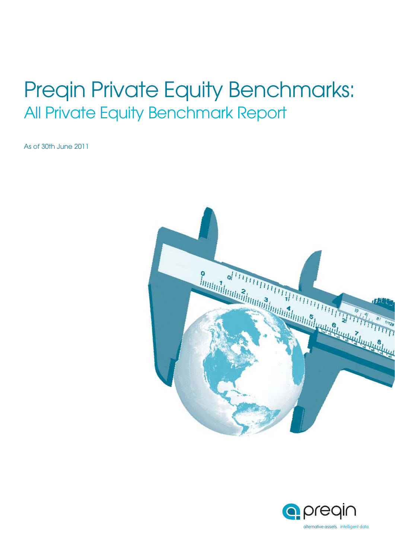# Preqin Private Equity Benchmarks: All Private Equity Benchmark Report

As of 30th June 2011



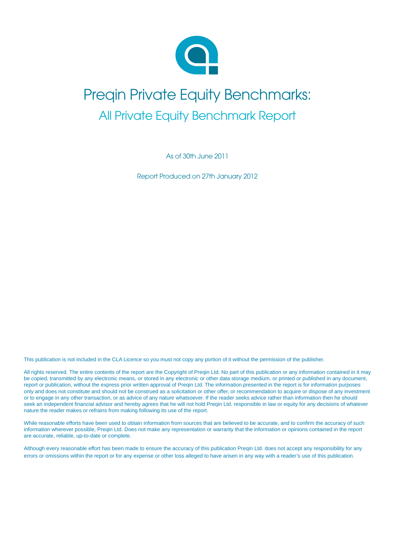

# Preqin Private Equity Benchmarks: All Private Equity Benchmark Report

As of 30th June 2011

Report Produced on 27th January 2012

This publication is not included in the CLA Licence so you must not copy any portion of it without the permission of the publisher.

All rights reserved. The entire contents of the report are the Copyright of Preqin Ltd. No part of this publication or any information contained in it may be copied, transmitted by any electronic means, or stored in any electronic or other data storage medium, or printed or published in any document, report or publication, without the express prior written approval of Preqin Ltd. The information presented in the report is for information purposes only and does not constitute and should not be construed as a solicitation or other offer, or recommendation to acquire or dispose of any investment or to engage in any other transaction, or as advice of any nature whatsoever. If the reader seeks advice rather than information then he should seek an independent financial advisor and hereby agrees that he will not hold Pregin Ltd. responsible in law or equity for any decisions of whatever nature the reader makes or refrains from making following its use of the report.

While reasonable efforts have been used to obtain information from sources that are believed to be accurate, and to confirm the accuracy of such information wherever possible, Preqin Ltd. Does not make any representation or warranty that the information or opinions contained in the report are accurate, reliable, up-to-date or complete.

Although every reasonable effort has been made to ensure the accuracy of this publication Preqin Ltd. does not accept any responsibility for any errors or omissions within the report or for any expense or other loss alleged to have arisen in any way with a reader's use of this publication.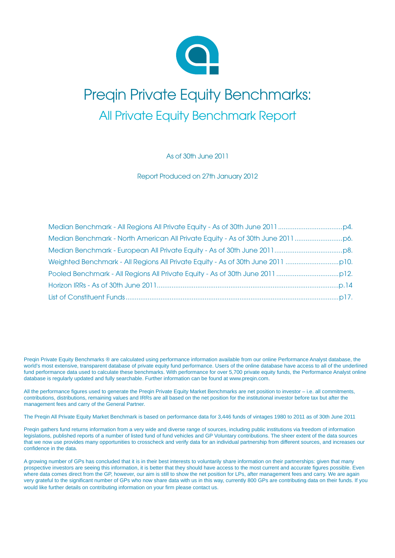

# Preqin Private Equity Benchmarks: All Private Equity Benchmark Report

As of 30th June 2011

Report Produced on 27th January 2012

Preqin Private Equity Benchmarks ® are calculated using performance information available from our online Performance Analyst database, the world's most extensive, transparent database of private equity fund performance. Users of the online database have access to all of the underlined fund performance data used to calculate these benchmarks. With performance for over 5,700 private equity funds, the Performance Analyst online database is regularly updated and fully searchable. Further information can be found at www.preqin.com.

All the performance figures used to generate the Preqin Private Equity Market Benchmarks are net position to investor – i.e. all commitments, contributions, distributions, remaining values and IRRs are all based on the net position for the institutional investor before tax but after the management fees and carry of the General Partner.

The Preqin All Private Equity Market Benchmark is based on performance data for 3,446 funds of vintages 1980 to 2011 as of 30th June 2011

Preqin gathers fund returns information from a very wide and diverse range of sources, including public institutions via freedom of information legislations, published reports of a number of listed fund of fund vehicles and GP Voluntary contributions. The sheer extent of the data sources that we now use provides many opportunities to crosscheck and verify data for an individual partnership from different sources, and increases our confidence in the data.

A growing number of GPs has concluded that it is in their best interests to voluntarily share information on their partnerships: given that many prospective investors are seeing this information, it is better that they should have access to the most current and accurate figures possible. Even where data comes direct from the GP, however, our aim is still to show the net position for LPs, after management fees and carry. We are again very grateful to the significant number of GPs who now share data with us in this way, currently 800 GPs are contributing data on their funds. If you would like further details on contributing information on your firm please contact us.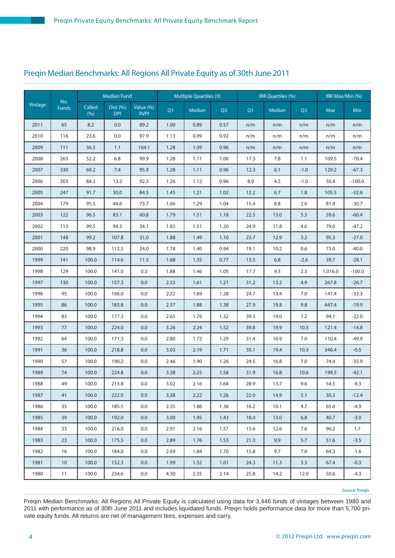### Preqin Median Benchmarks: All Regions All Private Equity as of 30th June 2011

|         |                     |                | <b>Median Fund</b>     |                          |      | <b>Mutliple Quartiles (X)</b> |                |      | IRR Quartiles (%) |        |            | IRR Max/Min (%) |
|---------|---------------------|----------------|------------------------|--------------------------|------|-------------------------------|----------------|------|-------------------|--------|------------|-----------------|
| Vintage | No.<br><b>Funds</b> | Called<br>(% ) | Dist (%)<br><b>DPI</b> | Value (%)<br><b>RVPI</b> | Q1   | Median                        | Q <sub>3</sub> | Q1   | Median            | Q3     | <b>Max</b> | <b>Min</b>      |
| 2011    | 65                  | 8.2            | 0.0                    | 89.2                     | 1.00 | 0.89                          | 0.57           | n/m  | n/m               | n/m    | n/m        | n/m             |
| 2010    | 116                 | 23.6           | 0.0                    | 97.9                     | 1.13 | 0.99                          | 0.92           | n/m  | n/m               | n/m    | n/m        | n/m             |
| 2009    | 111                 | 36.5           | 1.1                    | 104.1                    | 1.28 | 1.09                          | 0.96           | n/m  | n/m               | n/m    | n/m        | n/m             |
| 2008    | 263                 | 52.2           | 6.8                    | 99.9                     | 1.28 | 1.11                          | 1.00           | 17.3 | 7.8               | 1.1    | 109.5      | $-70.4$         |
| 2007    | 330                 | 69.2           | 7.4                    | 95.9                     | 1.28 | 1.11                          | 0.96           | 12.3 | 6.1               | $-1.0$ | 129.2      | $-67.3$         |
| 2006    | 303                 | 84.3           | 13.2                   | 92.3                     | 1.26 | 1.12                          | 0.96           | 8.9  | 4.5               | $-1.0$ | 50.4       | $-100.0$        |
| 2005    | 247                 | 91.7           | 30.0                   | 84.5                     | 1.45 | 1.21                          | 1.02           | 12.2 | 6.7               | 1.8    | 105.5      | $-32.6$         |
| 2004    | 179                 | 95.5           | 44.6                   | 73.7                     | 1.66 | 1.29                          | 1.04           | 15.4 | 8.8               | 2.6    | 81.9       | $-30.7$         |
| 2003    | 122                 | 96.5           | 83.7                   | 60.8                     | 1.79 | 1.51                          | 1.18           | 22.5 | 13.0              | 5.3    | 59.6       | $-60.4$         |
| 2002    | 113                 | 99.5           | 94.3                   | 34.1                     | 1.83 | 1.51                          | 1.20           | 24.9 | 11.8              | 4.6    | 79.0       | $-47.2$         |
| 2001    | 148                 | 99.2           | 107.8                  | 31.0                     | 1.88 | 1.49                          | 1.10           | 23.7 | 12.9              | 3.2    | 95.3       | $-27.0$         |
| 2000    | 220                 | 98.9           | 112.5                  | 24.0                     | 1.78 | 1.40                          | 0.94           | 19.1 | 10.2              | 0.6    | 73.0       | $-40.0$         |
| 1999    | 141                 | 100.0          | 114.6                  | 11.5                     | 1.68 | 1.35                          | 0.77           | 13.5 | 6.8               | $-2.6$ | 39.7       | $-28.1$         |
| 1998    | 129                 | 100.0          | 141.0                  | 0.3                      | 1.88 | 1.46                          | 1.05           | 17.7 | 9.3               | 2.3    | 1,016.0    | $-100.0$        |
| 1997    | 130                 | 100.0          | 157.3                  | 0.0                      | 2.33 | 1.61                          | 1.21           | 31.2 | 13.2              | 4.9    | 267.8      | $-26.7$         |
| 1996    | 95                  | 100.0          | 166.0                  | 0.0                      | 2.22 | 1.69                          | 1.38           | 24.7 | 13.4              | 7.0    | 147.4      | $-33.3$         |
| 1995    | 86                  | 100.0          | 183.8                  | 0.0                      | 2.37 | 1.88                          | 1.38           | 27.9 | 19.8              | 9.8    | 447.4      | $-19.9$         |
| 1994    | 83                  | 100.0          | 177.3                  | 0.0                      | 2.65 | 1.76                          | 1.32           | 39.3 | 19.0              | 7.2    | 94.1       | $-22.0$         |
| 1993    | 77                  | 100.0          | 224.0                  | 0.0                      | 3.26 | 2.24                          | 1.52           | 39.8 | 19.9              | 10.5   | 121.4      | $-14.8$         |
| 1992    | 64                  | 100.0          | 171.3                  | 0.0                      | 2.80 | 1.72                          | 1.29           | 31.4 | 16.9              | 7.0    | 110.4      | $-49.9$         |
| 1991    | 36                  | 100.0          | 218.8                  | 0.0                      | 3.03 | 2.19                          | 1.71           | 30.1 | 19.4              | 10.3   | 346.4      | $-0.5$          |
| 1990    | 57                  | 100.0          | 190.2                  | 0.0                      | 2.46 | 1.90                          | 1.26           | 24.5 | 16.8              | 7.0    | 74.4       | $-35.9$         |
| 1989    | 74                  | 100.0          | 224.8                  | 0.0                      | 3.38 | 2.25                          | 1.58           | 31.9 | 16.8              | 10.6   | 198.5      | $-42.1$         |
| 1988    | 49                  | 100.0          | 213.8                  | 0.0                      | 3.02 | 2.16                          | 1.64           | 28.9 | 13.7              | 9.6    | 54.5       | $-9.3$          |
| 1987    | 41                  | 100.0          | 222.0                  | 0.0                      | 3.38 | 2.22                          | 1.26           | 22.0 | 14.9              | 5.1    | 30.3       | $-12.4$         |
| 1986    | 35                  | 100.0          | 185.5                  | 0.0                      | 2.35 | 1.86                          | 1.36           | 16.2 | 10.1              | 4.7    | 65.0       | $-4.9$          |
| 1985    | 39                  | 100.0          | 192.0                  | 0.0                      | 3.00 | 1.95                          | 1.43           | 18.4 | 13.0              | 6.8    | 40.7       | $-3.0$          |
| 1984    | 33                  | 100.0          | 216.0                  | 0.0                      | 2.91 | 2.16                          | 1.57           | 15.6 | 12.6              | 7.6    | 96.2       | 1.7             |
| 1983    | 23                  | 100.0          | 175.5                  | 0.0                      | 2.89 | 1.76                          | 1.53           | 21.3 | 9.9               | 5.7    | 51.6       | $-3.5$          |
| 1982    | 16                  | 100.0          | 184.0                  | 0.0                      | 2.69 | 1.84                          | 1.70           | 15.8 | 9.7               | 7.0    | 64.3       | $-1.6$          |
| 1981    | 10                  | 100.0          | 152.3                  | 0.0                      | 1.99 | 1.52                          | 1.01           | 24.3 | 11.3              | 3.3    | 67.4       | $-0.3$          |
| 1980    | 11                  | 100.0          | 234.6                  | 0.0                      | 4.30 | 2.35                          | 2.14           | 25.8 | 14.2              | 12.0   | 50.6       | $-4.3$          |

Preqin Median Benchmarks: All Regions All Private Equity is calculated using data for 3,446 funds of vintages between 1980 and 2011 with performance as of 30th June 2011 and includes liquidated funds. Preqin holds performance data for more than 5,700 private equity funds. All returns are net of management fees, expenses and carry. Source: Preqin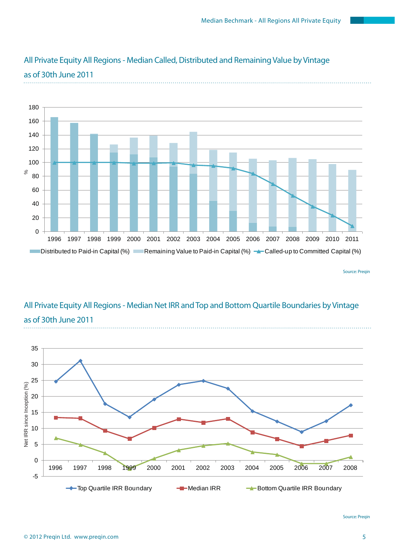

## All Private Equity All Regions - Median Called, Distributed and Remaining Value by Vintage as of 30th June 2011

## All Private Equity All Regions - Median Net IRR and Top and Bottom Quartile Boundaries by Vintage as of 30th June 2011



Source: Preqin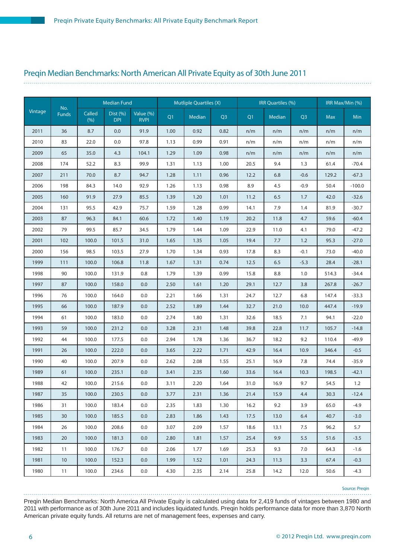#### Preqin Median Benchmarks: North American All Private Equity as of 30th June 2011

|         |                     |                 | <b>Median Fund</b>     |                          |      | <b>Mutliple Quartiles (X)</b> |                |      | IRR Quartiles (%) |                | IRR Max/Min (%) |          |  |
|---------|---------------------|-----------------|------------------------|--------------------------|------|-------------------------------|----------------|------|-------------------|----------------|-----------------|----------|--|
| Vintage | No.<br><b>Funds</b> | Called<br>(9/6) | Dist (%)<br><b>DPI</b> | Value (%)<br><b>RVPI</b> | Q1   | Median                        | Q <sub>3</sub> | Q1   | Median            | Q <sub>3</sub> | <b>Max</b>      | Min      |  |
| 2011    | 36                  | 8.7             | 0.0                    | 91.9                     | 1.00 | 0.92                          | 0.82           | n/m  | n/m               | n/m            | n/m             | n/m      |  |
| 2010    | 83                  | 22.0            | 0.0                    | 97.8                     | 1.13 | 0.99                          | 0.91           | n/m  | n/m               | n/m            | n/m             | n/m      |  |
| 2009    | 65                  | 35.0            | 4.3                    | 104.1                    | 1.29 | 1.09                          | 0.98           | n/m  | n/m               | n/m            | n/m             | n/m      |  |
| 2008    | 174                 | 52.2            | 8.3                    | 99.9                     | 1.31 | 1.13                          | 1.00           | 20.5 | 9.4               | 1.3            | 61.4            | $-70.4$  |  |
| 2007    | 211                 | 70.0            | 8.7                    | 94.7                     | 1.28 | 1.11                          | 0.96           | 12.2 | 6.8               | $-0.6$         | 129.2           | $-67.3$  |  |
| 2006    | 198                 | 84.3            | 14.0                   | 92.9                     | 1.26 | 1.13                          | 0.98           | 8.9  | 4.5               | $-0.9$         | 50.4            | $-100.0$ |  |
| 2005    | 160                 | 91.9            | 27.9                   | 85.5                     | 1.39 | 1.20                          | 1.01           | 11.2 | 6.5               | 1.7            | 42.0            | $-32.6$  |  |
| 2004    | 131                 | 95.5            | 42.9                   | 75.7                     | 1.59 | 1.28                          | 0.99           | 14.1 | 7.9               | 1.4            | 81.9            | $-30.7$  |  |
| 2003    | 87                  | 96.3            | 84.1                   | 60.6                     | 1.72 | 1.40                          | 1.19           | 20.2 | 11.8              | 4.7            | 59.6            | $-60.4$  |  |
| 2002    | 79                  | 99.5            | 85.7                   | 34.5                     | 1.79 | 1.44                          | 1.09           | 22.9 | 11.0              | 4.1            | 79.0            | $-47.2$  |  |
| 2001    | 102                 | 100.0           | 101.5                  | 31.0                     | 1.65 | 1.35                          | 1.05           | 19.4 | 7.7               | 1.2            | 95.3            | $-27.0$  |  |
| 2000    | 156                 | 98.5            | 103.5                  | 27.9                     | 1.70 | 1.34                          | 0.93           | 17.8 | 8.3               | $-0.1$         | 73.0            | $-40.0$  |  |
| 1999    | 111                 | 100.0           | 106.8                  | 11.8                     | 1.67 | 1.31                          | 0.74           | 12.5 | 6.5               | $-5.3$         | 28.4            | $-28.1$  |  |
| 1998    | 90                  | 100.0           | 131.9                  | 0.8                      | 1.79 | 1.39                          | 0.99           | 15.8 | 8.8               | 1.0            | 514.3           | -34.4    |  |
| 1997    | 87                  | 100.0           | 158.0                  | 0.0                      | 2.50 | 1.61                          | 1.20           | 29.1 | 12.7              | 3.8            | 267.8           | $-26.7$  |  |
| 1996    | 76                  | 100.0           | 164.0                  | 0.0                      | 2.21 | 1.66                          | 1.31           | 24.7 | 12.7              | 6.8            | 147.4           | $-33.3$  |  |
| 1995    | 66                  | 100.0           | 187.9                  | 0.0                      | 2.52 | 1.89                          | 1.44           | 32.7 | 21.0              | 10.0           | 447.4           | $-19.9$  |  |
| 1994    | 61                  | 100.0           | 183.0                  | 0.0                      | 2.74 | 1.80                          | 1.31           | 32.6 | 18.5              | 7.1            | 94.1            | $-22.0$  |  |
| 1993    | 59                  | 100.0           | 231.2                  | 0.0                      | 3.28 | 2.31                          | 1.48           | 39.8 | 22.8              | 11.7           | 105.7           | $-14.8$  |  |
| 1992    | 44                  | 100.0           | 177.5                  | 0.0                      | 2.94 | 1.78                          | 1.36           | 36.7 | 18.2              | 9.2            | 110.4           | -49.9    |  |
| 1991    | 26                  | 100.0           | 222.0                  | 0.0                      | 3.65 | 2.22                          | 1.71           | 42.9 | 16.4              | 10.9           | 346.4           | $-0.5$   |  |
| 1990    | 40                  | 100.0           | 207.9                  | 0.0                      | 2.62 | 2.08                          | 1.55           | 25.1 | 16.9              | 7.8            | 74.4            | $-35.9$  |  |
| 1989    | 61                  | 100.0           | 235.1                  | 0.0                      | 3.41 | 2.35                          | 1.60           | 33.6 | 16.4              | 10.3           | 198.5           | $-42.1$  |  |
| 1988    | 42                  | 100.0           | 215.6                  | 0.0                      | 3.11 | 2.20                          | 1.64           | 31.0 | 16.9              | 9.7            | 54.5            | 1.2      |  |
| 1987    | 35                  | 100.0           | 230.5                  | 0.0                      | 3.77 | 2.31                          | 1.36           | 21.4 | 15.9              | 4.4            | 30.3            | $-12.4$  |  |
| 1986    | 31                  | 100.0           | 183.4                  | 0.0                      | 2.35 | 1.83                          | 1.30           | 16.2 | 9.2               | 3.9            | 65.0            | $-4.9$   |  |
| 1985    | 30                  | 100.0           | 185.5                  | 0.0                      | 2.83 | 1.86                          | 1.43           | 17.5 | 13.0              | 6.4            | 40.7            | $-3.0$   |  |
| 1984    | 26                  | 100.0           | 208.6                  | 0.0                      | 3.07 | 2.09                          | 1.57           | 18.6 | 13.1              | 7.5            | 96.2            | 5.7      |  |
| 1983    | 20                  | 100.0           | 181.3                  | 0.0                      | 2.80 | 1.81                          | 1.57           | 25.4 | 9.9               | 5.5            | 51.6            | $-3.5$   |  |
| 1982    | 11                  | 100.0           | 176.7                  | 0.0                      | 2.06 | 1.77                          | 1.69           | 25.3 | 9.3               | 7.0            | 64.3            | $-1.6$   |  |
| 1981    | 10                  | 100.0           | 152.3                  | 0.0                      | 1.99 | 1.52                          | 1.01           | 24.3 | 11.3              | 3.3            | 67.4            | $-0.3$   |  |
| 1980    | 11                  | 100.0           | 234.6                  | 0.0                      | 4.30 | 2.35                          | 2.14           | 25.8 | 14.2              | 12.0           | 50.6            | $-4.3$   |  |

Source: Preqin

Preqin Median Benchmarks: North America All Private Equity is calculated using data for 2,419 funds of vintages between 1980 and 2011 with performance as of 30th June 2011 and includes liquidated funds. Preqin holds performance data for more than 3,870 North American private equity funds. All returns are net of management fees, expenses and carry.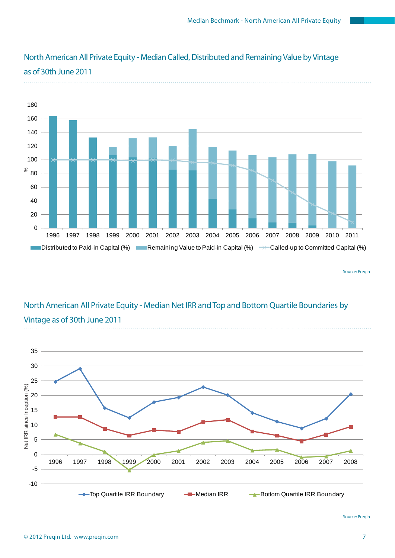

## North American All Private Equity - Median Called, Distributed and Remaining Value by Vintage as of 30th June 2011

Source: Preqin

# North American All Private Equity - Median Net IRR and Top and Bottom Quartile Boundaries by Vintage as of 30th June 2011



Source: Preqin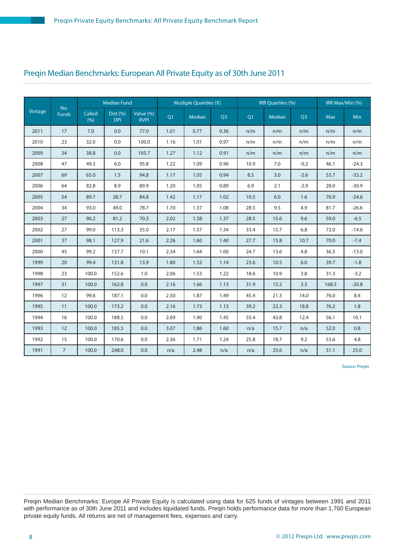#### Preqin Median Benchmarks: European All Private Equity as of 30th June 2011

|         |                     |               | <b>Median Fund</b>     |                          |      | <b>Mutliple Quartiles (X)</b> |                |      | IRR Quartiles (%) |                |            | IRR Max/Min (%) |
|---------|---------------------|---------------|------------------------|--------------------------|------|-------------------------------|----------------|------|-------------------|----------------|------------|-----------------|
| Vintage | No.<br><b>Funds</b> | Called<br>(%) | Dist (%)<br><b>DPI</b> | Value (%)<br><b>RVPI</b> | Q1   | Median                        | Q <sub>3</sub> | Q1   | Median            | Q <sub>3</sub> | <b>Max</b> | Min             |
| 2011    | 17                  | 7.0           | 0.0                    | 77.0                     | 1.01 | 0.77                          | 0.36           | n/m  | n/m               | n/m            | n/m        | n/m             |
| 2010    | 23                  | 32.0          | 0.0                    | 100.0                    | 1.16 | 1.01                          | 0.97           | n/m  | n/m               | n/m            | n/m        | n/m             |
| 2009    | 34                  | 38.8          | 0.0                    | 105.7                    | 1.27 | 1.12                          | 0.91           | n/m  | n/m               | n/m            | n/m        | n/m             |
| 2008    | 47                  | 49.3          | 6.0                    | 95.8                     | 1.22 | 1.09                          | 0.96           | 10.9 | 7.0               | $-0.2$         | 46.1       | $-24.3$         |
| 2007    | 69                  | 65.0          | 1.5                    | 94.8                     | 1.17 | 1.05                          | 0.94           | 8.5  | 3.0               | $-2.6$         | 53.7       | $-33.2$         |
| 2006    | 64                  | 82.8          | 8.9                    | 89.9                     | 1.20 | 1.05                          | 0.89           | 6.9  | 2.1               | $-2.9$         | 28.0       | $-30.9$         |
| 2005    | 54                  | 89.7          | 28.7                   | 84.8                     | 1.42 | 1.17                          | 1.02           | 10.5 | 6.0               | 1.6            | 76.9       | $-24.6$         |
| 2004    | 34                  | 93.0          | 49.0                   | 78.7                     | 1.70 | 1.37                          | 1.08           | 28.5 | 9.5               | 4.9            | 81.7       | $-26.6$         |
| 2003    | 27                  | 96.2          | 81.2                   | 70.3                     | 2.02 | 1.58                          | 1.37           | 28.5 | 15.6              | 9.6            | 59.0       | $-6.5$          |
| 2002    | 27                  | 99.0          | 113.3                  | 35.0                     | 2.17 | 1.57                          | 1.34           | 33.4 | 15.7              | 6.8            | 72.0       | $-14.6$         |
| 2001    | 37                  | 98.1          | 127.9                  | 21.6                     | 2.26 | 1.60                          | 1.40           | 27.7 | 15.8              | 10.7           | 70.0       | $-7.4$          |
| 2000    | 45                  | 99.2          | 137.7                  | 10.1                     | 2.34 | 1.64                          | 1.00           | 24.7 | 13.6              | 4.8            | 36.5       | $-13.0$         |
| 1999    | 20                  | 99.4          | 131.8                  | 13.9                     | 1.80 | 1.52                          | 1.14           | 23.6 | 10.5              | 6.0            | 39.7       | $-1.8$          |
| 1998    | 23                  | 100.0         | 152.6                  | 1.0                      | 2.06 | 1.53                          | 1.22           | 18.6 | 10.9              | 3.8            | 31.3       | $-3.2$          |
| 1997    | 31                  | 100.0         | 162.8                  | 0.0                      | 2.16 | 1.66                          | 1.13           | 31.9 | 15.2              | 3.3            | 168.5      | $-20.8$         |
| 1996    | 12                  | 99.6          | 187.1                  | 0.0                      | 2.50 | 1.87                          | 1.49           | 45.4 | 21.3              | 14.0           | 76.0       | 8.4             |
| 1995    | 11                  | 100.0         | 173.2                  | 0.0                      | 2.16 | 1.73                          | 1.13           | 39.2 | 22.3              | 18.8           | 76.2       | 1.8             |
| 1994    | 16                  | 100.0         | 188.5                  | 0.0                      | 2.69 | 1.90                          | 1.45           | 55.4 | 43.8              | 12.4           | 56.1       | 10.1            |
| 1993    | 12                  | 100.0         | 185.5                  | 0.0                      | 3.07 | 1.86                          | 1.60           | n/a  | 15.7              | n/a            | 52.0       | 0.8             |
| 1992    | 15                  | 100.0         | 170.6                  | 0.0                      | 2.36 | 1.71                          | 1.24           | 25.8 | 18.7              | 9.2            | 53.6       | 4.8             |
| 1991    | $7^{\circ}$         | 100.0         | 248.0                  | 0.0                      | n/a  | 2.48                          | n/a            | n/a  | 25.6              | n/a            | 31.1       | 25.0            |

Source: Preqin

Preqin Median Benchmarks: Europe All Private Equity is calculated using data for 625 funds of vintages between 1991 and 2011 with performance as of 30th June 2011 and includes liquidated funds. Preqin holds performance data for more than 1,760 European private equity funds. All returns are net of management fees, expenses and carry.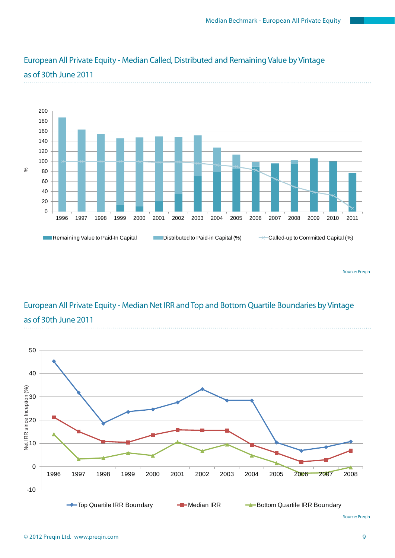

# European All Private Equity - Median Called, Distributed and Remaining Value by Vintage

Source: Preqin

# European All Private Equity - Median Net IRR and Top and Bottom Quartile Boundaries by Vintage as of 30th June 2011



# as of 30th June 2011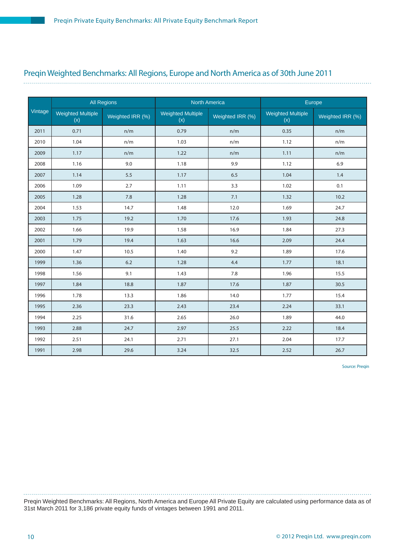#### Preqin Weighted Benchmarks: All Regions, Europe and North America as of 30th June 2011

|         |                          | <b>All Regions</b> | <b>North America</b>            |                  |                                 | Europe           |
|---------|--------------------------|--------------------|---------------------------------|------------------|---------------------------------|------------------|
| Vintage | Weighted Multiple<br>(x) | Weighted IRR (%)   | <b>Weighted Multiple</b><br>(x) | Weighted IRR (%) | <b>Weighted Multiple</b><br>(x) | Weighted IRR (%) |
| 2011    | 0.71                     | n/m                | 0.79                            | n/m              | 0.35                            | n/m              |
| 2010    | 1.04                     | n/m                | 1.03                            | n/m              | 1.12                            | n/m              |
| 2009    | 1.17                     | n/m                | 1.22                            | n/m              | 1.11                            | n/m              |
| 2008    | 1.16                     | 9.0                | 1.18                            | 9.9              | 1.12                            | 6.9              |
| 2007    | 1.14                     | 5.5                | 1.17                            | 6.5              | 1.04                            | 1.4              |
| 2006    | 1.09                     | 2.7                | 1.11                            | 3.3              | 1.02                            | 0.1              |
| 2005    | 1.28                     | 7.8                | 1.28                            | 7.1              | 1.32                            | 10.2             |
| 2004    | 1.53                     | 14.7               | 1.48                            | 12.0             | 1.69                            | 24.7             |
| 2003    | 1.75                     | 19.2               | 1.70                            | 17.6             | 1.93                            | 24.8             |
| 2002    | 1.66                     | 19.9               | 1.58                            | 16.9             | 1.84                            | 27.3             |
| 2001    | 1.79                     | 19.4               | 1.63                            | 16.6             | 2.09                            | 24.4             |
| 2000    | 1.47                     | 10.5               | 1.40                            | 9.2              | 1.89                            | 17.6             |
| 1999    | 1.36                     | 6.2                | 1.28                            | 4.4              | 1.77                            | 18.1             |
| 1998    | 1.56                     | 9.1                | 1.43                            | 7.8              | 1.96                            | 15.5             |
| 1997    | 1.84                     | 18.8               | 1.87                            | 17.6             | 1.87                            | 30.5             |
| 1996    | 1.78                     | 13.3               | 1.86                            | 14.0             | 1.77                            | 15.4             |
| 1995    | 2.36                     | 23.3               | 2.43                            | 23.4             | 2.24                            | 33.1             |
| 1994    | 2.25                     | 31.6               | 2.65                            | 26.0             | 1.89                            | 44.0             |
| 1993    | 2.88                     | 24.7               | 2.97                            | 25.5             | 2.22                            | 18.4             |
| 1992    | 2.51                     | 24.1               | 2.71                            | 27.1             | 2.04                            | 17.7             |
| 1991    | 2.98                     | 29.6               | 3.24                            | 32.5             | 2.52                            | 26.7             |

Source: Preqin

Preqin Weighted Benchmarks: All Regions, North America and Europe All Private Equity are calculated using performance data as of 31st March 2011 for 3,186 private equity funds of vintages between 1991 and 2011.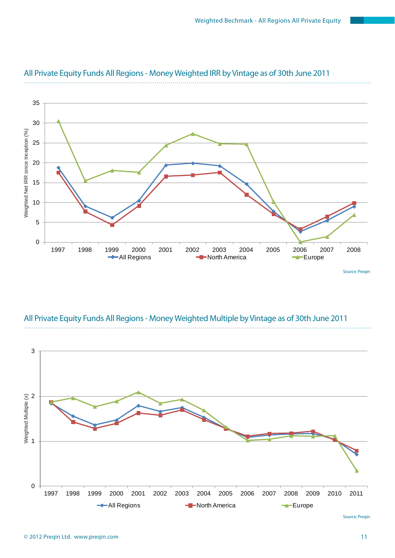

## All Private Equity Funds All Regions - Money Weighted IRR by Vintage as of 30th June 2011

All Private Equity Funds All Regions - Money Weighted Multiple by Vintage as of 30th June 2011

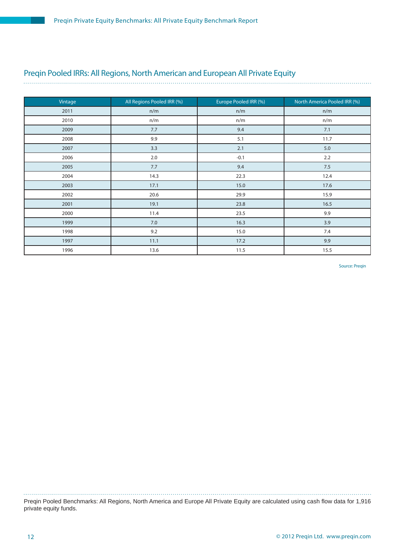### Preqin Pooled IRRs: All Regions, North American and European All Private Equity

| Vintage | All Regions Pooled IRR (%) | Europe Pooled IRR (%) | North America Pooled IRR (%) |
|---------|----------------------------|-----------------------|------------------------------|
| 2011    | n/m                        | n/m                   | n/m                          |
| 2010    | n/m                        | n/m                   | n/m                          |
| 2009    | 7.7                        | 9.4                   | 7.1                          |
| 2008    | 9.9                        | 5.1                   | 11.7                         |
| 2007    | 3.3                        | 2.1                   | 5.0                          |
| 2006    | 2.0                        | $-0.1$                | 2.2                          |
| 2005    | 7.7                        | 9.4                   | 7.5                          |
| 2004    | 14.3                       | 22.3                  | 12.4                         |
| 2003    | 17.1                       | 15.0                  | 17.6                         |
| 2002    | 20.6                       | 29.9                  | 15.9                         |
| 2001    | 19.1                       | 23.8                  | 16.5                         |
| 2000    | 11.4                       | 23.5                  | 9.9                          |
| 1999    | 7.0                        | 16.3                  | 3.9                          |
| 1998    | 9.2                        | 15.0                  | 7.4                          |
| 1997    | 11.1                       | 17.2                  | 9.9                          |
| 1996    | 13.6                       | 11.5                  | 15.5                         |

Source: Preqin

Preqin Pooled Benchmarks: All Regions, North America and Europe All Private Equity are calculated using cash flow data for 1,916 private equity funds.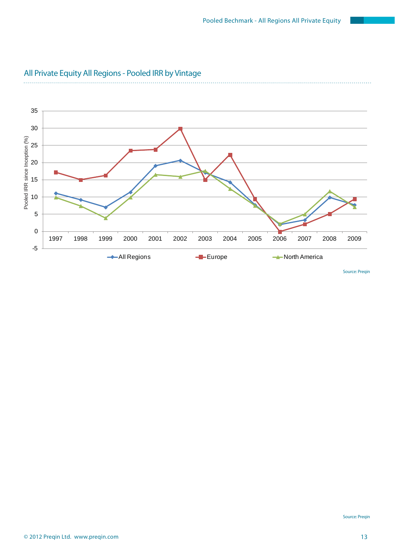

### All Private Equity All Regions - Pooled IRR by Vintage

. . . . . . . . . . . . .

Source: Preqin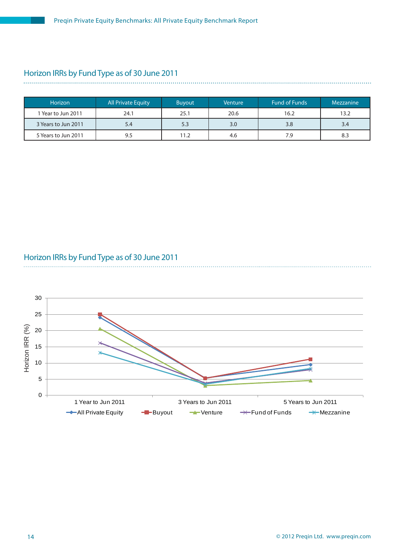### Horizon IRRs by Fund Type as of 30 June 2011

| <b>Horizon</b>      | <b>All Private Equity</b> | <b>Buyout</b> | Venture | <b>Fund of Funds</b> | Mezzanine |
|---------------------|---------------------------|---------------|---------|----------------------|-----------|
| 1 Year to Jun 2011  | 24.1                      | 25.1          | 20.6    | 16.2                 | 13.2      |
| 3 Years to Jun 2011 | 5.4                       | 5.3           | 3.0     | 3.8                  | 3.4       |
| 5 Years to Jun 2011 | 9.5                       | 11.2          | 4.6     | 7.9                  | 8.3       |

#### Horizon IRRs by Fund Type as of 30 June 2011



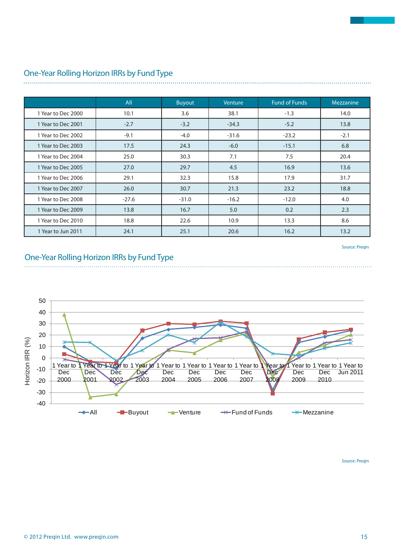|                    | All     | <b>Buyout</b> | <b>Venture</b> | <b>Fund of Funds</b> | Mezzanine |
|--------------------|---------|---------------|----------------|----------------------|-----------|
| 1 Year to Dec 2000 | 10.1    | 3.6           | 38.1           | $-1.3$               | 14.0      |
| 1 Year to Dec 2001 | $-2.7$  | $-3.2$        | $-34.3$        | $-5.2$               | 13.8      |
| 1 Year to Dec 2002 | $-9.1$  | $-4.0$        | $-31.6$        | $-23.2$              | $-2.1$    |
| 1 Year to Dec 2003 | 17.5    | 24.3          | $-6.0$         | $-15.1$              | 6.8       |
| 1 Year to Dec 2004 | 25.0    | 30.3          | 7.1            | 7.5                  | 20.4      |
| 1 Year to Dec 2005 | 27.0    | 29.7          | 4.5            | 16.9                 | 13.6      |
| 1 Year to Dec 2006 | 29.1    | 32.3          | 15.8           | 17.9                 | 31.7      |
| 1 Year to Dec 2007 | 26.0    | 30.7          | 21.3           | 23.2                 | 18.8      |
| 1 Year to Dec 2008 | $-27.6$ | $-31.0$       | $-16.2$        | $-12.0$              | 4.0       |
| 1 Year to Dec 2009 | 13.8    | 16.7          | 5.0            | 0.2                  | 2.3       |
| 1 Year to Dec 2010 | 18.8    | 22.6          | 10.9           | 13.3                 | 8.6       |
| 1 Year to Jun 2011 | 24.1    | 25.1          | 20.6           | 16.2                 | 13.2      |

#### One-Year Rolling Horizon IRRs by Fund Type

Source: Preqin

#### One-Year Rolling Horizon IRRs by Fund Type



Source: Preqin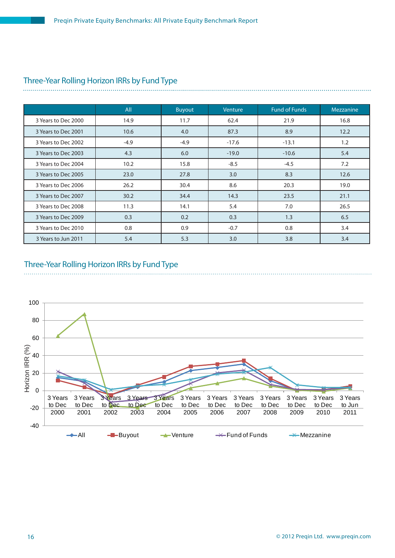# Three-Year Rolling Horizon IRRs by Fund Type

|                     | All    | <b>Buyout</b> | Venture | <b>Fund of Funds</b> | Mezzanine |
|---------------------|--------|---------------|---------|----------------------|-----------|
| 3 Years to Dec 2000 | 14.9   | 11.7          | 62.4    | 21.9                 | 16.8      |
| 3 Years to Dec 2001 | 10.6   | 4.0           | 87.3    | 8.9                  | 12.2      |
| 3 Years to Dec 2002 | $-4.9$ | $-4.9$        | $-17.6$ | $-13.1$              | 1.2       |
| 3 Years to Dec 2003 | 4.3    | 6.0           | $-19.0$ | $-10.6$              | 5.4       |
| 3 Years to Dec 2004 | 10.2   | 15.8          | $-8.5$  | $-4.5$               | 7.2       |
| 3 Years to Dec 2005 | 23.0   | 27.8          | 3.0     | 8.3                  | 12.6      |
| 3 Years to Dec 2006 | 26.2   | 30.4          | 8.6     | 20.3                 | 19.0      |
| 3 Years to Dec 2007 | 30.2   | 34.4          | 14.3    | 23.5                 | 21.1      |
| 3 Years to Dec 2008 | 11.3   | 14.1          | 5.4     | 7.0                  | 26.5      |
| 3 Years to Dec 2009 | 0.3    | 0.2           | 0.3     | 1.3                  | 6.5       |
| 3 Years to Dec 2010 | 0.8    | 0.9           | $-0.7$  | 0.8                  | 3.4       |
| 3 Years to Jun 2011 | 5.4    | 5.3           | 3.0     | 3.8                  | 3.4       |

#### Three-Year Rolling Horizon IRRs by Fund Type

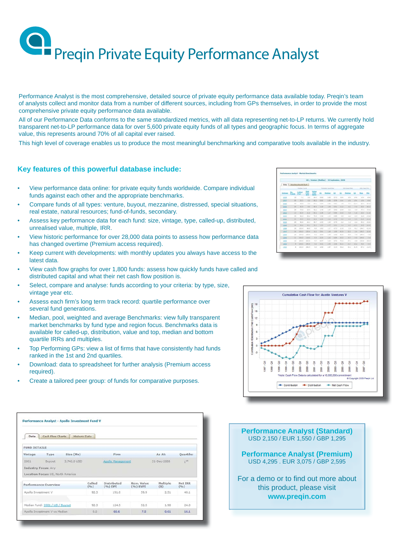Performance Analyst is the most comprehensive, detailed source of private equity performance data available today. Preqin's team of analysts collect and monitor data from a number of different sources, including from GPs themselves, in order to provide the most comprehensive private equity performance data available.

All of our Performance Data conforms to the same standardized metrics, with all data representing net-to-LP returns. We currently hold transparent net-to-LP performance data for over 5,600 private equity funds of all types and geographic focus. In terms of aggregate value, this represents around 70% of all capital ever raised.

This high level of coverage enables us to produce the most meaningful benchmarking and comparative tools available in the industry.

#### **Key features of this powerful database include:**

- View performance data online: for private equity funds worldwide. Compare individual funds against each other and the appropriate benchmarks.
- Compare funds of all types: venture, buyout, mezzanine, distressed, special situations, real estate, natural resources; fund-of-funds, secondary.
- Assess key performance data for each fund: size, vintage, type, called-up, distributed, unrealised value, multiple, IRR.
- View historic performance for over 28,000 data points to assess how performance data has changed overtime (Premium access required).
- Keep current with developments: with monthly updates you always have access to the latest data.
- View cash flow graphs for over 1,800 funds: assess how quickly funds have called and distributed capital and what their net cash flow position is.
- Select, compare and analyse: funds according to your criteria: by type, size, vintage year etc.
- Assess each firm's long term track record: quartile performance over several fund generations.
- Median, pool, weighted and average Benchmarks: view fully transparent market benchmarks by fund type and region focus. Benchmarks data is available for called-up, distribution, value and top, median and bottom quartile IRRs and multiples.
- Top Performing GPs: view a list of firms that have consistently had funds ranked in the 1st and 2nd quartiles.
- Download: data to spreadsheet for further analysis (Premium access required).
- Create a tailored peer group: of funds for comparative purposes.

| Data                | <b>Cash Flow Charts</b>           | <b>Historic Data</b> |                |                        |                           |                 |                 |
|---------------------|-----------------------------------|----------------------|----------------|------------------------|---------------------------|-----------------|-----------------|
|                     |                                   |                      |                |                        |                           |                 |                 |
| <b>FUND DETAILS</b> |                                   |                      |                |                        |                           |                 |                 |
| Vintage             | Type                              | Size (Mn)            |                | Firm                   |                           | As At:          | Quartile:       |
| 2001                | Buyout                            | 3,742.0 USD          |                | Apollo Management      |                           | 31-Dec-2008     | 13t             |
|                     | <b>Industry Focus: Any</b>        |                      |                |                        |                           |                 |                 |
|                     | Location Focus: US, North America |                      |                |                        |                           |                 |                 |
|                     | Performance Overview              |                      | Called<br>(96) | Distributed<br>(%) DPI | Rem. Value<br>$(96)$ RVPI | Multiple<br>(X) | Net IRR<br>(96) |
| Apollo Investment V |                                   |                      | 92.3           | 191.0                  | 59.9                      | 2.51            | 40.1            |
|                     |                                   |                      |                |                        |                           |                 |                 |
|                     | Median Fund: 2001 / US / Buyout   |                      | 92.3           | 124.5                  | 52.5                      | 1.90            | 24.0            |
|                     |                                   |                      |                |                        |                           |                 |                 |

|                 |                           |                           |               |            |                    | US / Venture (Hedian) - 30 September, 2008 |               |                     |              |               |              |                  |
|-----------------|---------------------------|---------------------------|---------------|------------|--------------------|--------------------------------------------|---------------|---------------------|--------------|---------------|--------------|------------------|
| <b>Data</b>     |                           | . Was Australia and Durft |               |            |                    |                                            |               |                     |              |               |              |                  |
|                 | <b>Madian Rund</b>        |                           |               |            | Multiple Duartiles |                                            |               | <b>153 Quarties</b> |              |               | 19.6 Has No. |                  |
| <b>Kindwork</b> | the Called<br>Tanaba Chai |                           | Dist<br>ЭÌ    | 氥          | 6k                 | Heilian                                    | 03            | <b>GA</b>           | Hedian.      | 63            | <b>Han</b>   | <b>Hotel</b>     |
| 2012            | <b>13</b>                 | T.L                       | 1.1           | bs 5       | 1.33               | 11.34                                      | 4.72          | <b>West</b>         | <b>Yu're</b> | A/M           | <b>WHY</b>   | <b>A/M</b>       |
| 2022            | 24                        | 11.7                      | 11            | <b>ICT</b> | S.NT               | 5.04                                       | 1.71          | W                   | WH           | Allen         | Alberta      | <b>Wallen</b>    |
| 202             | $_{\rm at}$               | $4.1 - 8$                 | 6.8           | 87.3       | 1.34               | 9.82                                       | 9.61          | 1.5                 | 15.7         | 166.46        | 25.4         | $-0.4 - 10$      |
| $=$             | 25                        | 45.8                      | 3.1           | 33.3       | 1.18               | 1.00                                       | 3.31          | 12.2                | $\sim$       | <b>HOLE</b>   | <b>SILLE</b> | $-0.5$ .2        |
| 2215            | 14                        | 79.8                      | 13.0          | 12.2       | 1/41               | 1.07                                       | 1.11          | 15.9                | 1.1          | $+1.0$        |              | $(7, 6)$ $-03.8$ |
| $=$             | 13                        | 83.90                     | 21.2          | 95.2       | 1.36               | 1.27                                       | 1.41          | <b>TET</b>          | 1.9          | 16.8          | 24.31        | $-112.8$         |
| $\frac{1}{2}$   | $\mathbb{H}$              | 14.0                      | bk a          | 72.9       | $+30$              | $+11$                                      | $+ + +$       | 4.8                 | 4.4          | $-5.2$        |              | 14.9 .19.6       |
| 2555            | $\sim$                    | 34.3                      | 36.5          | <b>WEA</b> | 2,38               | 2.05                                       | 3.78          | 9.2                 | 1.1          | $-0.16$       | 21.8         | 715.2            |
| 2111            | 13                        | 14.9                      | 45.2          | 24.7       | 1.33               | 1.11                                       | 6.74          | 6.4                 | 12           | $-4.4$        |              | 30.2  . 15.6     |
| 1223            | $^{16}$                   | 44.6                      | 48.3          | 35.3       | 1.33               | 2.77                                       | $+11$         | 4.4                 | $-11$        | $-0.6 - 2$    | 300.4        | $+0.8$           |
| 1215            | 25                        | 205.8                     | 14.2          | 1.3        | 1.82               |                                            | $1.17 - 0.72$ | 22.8                | 2.9          | $-0.1$        | 134.7        | $-22.8$          |
| 1857            | $\overline{ }$            | 101.1                     | <b>CYR.R.</b> | 16.2       | 2.31               | 3,88                                       | 1.33          | 43.9                | 22.2         | 1.1           | 198.7        | 22.8             |
| 1885            | to:                       | 123.8                     | 183.8         | 5.5        | 3.34               | 3.88                                       | 3.32          | 63.4                | 15.9         | 1.8           | ses.a        | $-8.6$           |
| 2.225           | 11                        | 115.2                     | 118.87        | 1.4        | 223                | $1-32$                                     | 3.34          | <b>YKE</b>          | <b>HET</b>   | $\rightarrow$ | 654.3        | $-4.4$           |
| 1373            | 13                        | 110.3                     | 222.8         | 3.7        | 6.37               | 2.23                                       | 8.72          | 73.2                | 27.1         | $-0.8$        | 124.6        | $-28.2$          |
| 1,812           | ٠                         | 113.2                     | 268.8         | <b>KR</b>  | 5.32               | 2.88                                       | 1.14          | <b>O.T</b>          | 23.7         | 13.2          | 74.1         | 16.8             |
| 1392            | ×                         | 188.8                     | 288.8         | 1.1        | 4.36               | 2.87                                       | 2.13          | 26.8                | 22.2         | 11.5          | 87.2         | $-16.5$          |



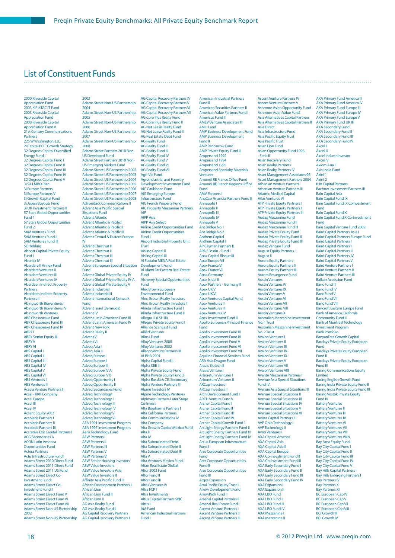### List of Constituent Funds

#### 2000 Riverside Capital **Appreciation Fund** 2003 KIF-KTAC IT Fund 2003 Riverside Capital Appreciation Fund 2008 Riverside Capital Appreciation Fund V 21st Century Communications Partners 225 W Washington, LLC 2i Capital PCC: Growth Strategy<br>32 Degrees Capital Diversified Energy Fund I 32 Degrees Capital Fund I 32 Degrees Capital Fund II 32 Degrees Capital Fund III 32 Degrees Capital Fund IV 32 Degrees Capital Fund V 3i 94 LMBO Plan 3i Europe Partners 3i Europe Partners V 3i Growth Capital Fund 3i Japan Buyouts Fund 3i UK Investment Partners II 57 Stars Global Opportunities Fund 1 57 Stars Global Opportunities Fund 2 5AM Ventures Fund 5AM Ventures Fund II 5AM Ventures Fund III 5E Holding Abbott Capital Private Equity Fund I Abenex IV Aberdare II Annex Fund Aberdare Ventures II Aberdare Ventures III Aberdare Ventures IV Aberdeen Indirect Property Partners Aberdeen Indirect Property Partners II Abingworth Bioventures I Abingworth Bioventures IV Abingworth Ventures ABR Chesapeake Fund ABR Chesapeake Fund III ABR Chesapeake Fund IV ABRY I **ABRY Senior Equity III** ABRY V ABRY VI ABS Capital I **ABS Capital II** ABS Capital III **ABS** Capital IV ABS Capital V ABS Capital VI ABS Ventures II ABS Ventures III Acacia Venture Partners II Accel - KKR Company Accel Europe Accel II Accel IV Accent Equity 2003 Accolade Partners I Accolade Partners II Accolade Partners III Accretive Exit Capital Partners I ACG Secondaries A ACON Latin America Opportunities Fund Actera Partners Actis Infrastructure Fund I Adams Street 2010 Direct Fund Adams Street 2011 Direct Fund Adams Street 2011 US Fund Adams Street Direct Co-Investment Fund I Adams Street Direct Co-Investment Fund II Adams Street Direct Fund V Adams Street Direct Fund VI Adams Street Direct Fund VII Adams Street Non-US Partnership 2002 Adams Street Non-US Partnership

2003 Adams Street Non-US Partnership 2004 Adams Street Non-US Partnership 2005 Adams Street Non-US Partnership 2006 Adams Street Non-US Partnership 2007 Adams Street Non-US Partnership 2008 Adams Street Partners 2010 Non-US Developed Fund Adams Street Partners 2010 Non-US Emerging Markets Fund Adams Street US Partnership 2002 Adams Street US Partnership 2003 Adams Street US Partnership 2004 Adams Street US Partnership 2005 Adams Street US Partnership 2006 Adams Street US Partnership 2007 Adams Street US Partnership 2008 Adirondack Communications II Advent Asia Pacific Special Situations Fund Advent Atlantic Advent Atlantic & Pacific I Advent Atlantic & Pacific II Advent Atlantic & Pacific III Advent Central & Eastern Europe IV Advent Chestnut II Advent Chestnut II Advent Chestnut III Advent Chestnut III Advent European Special Situation Fund Advent Global Private Equity IV **Advent Global Private Equity IV-A** Advent Global Private Equity V Advent Industrial Advent Industrial II Advent International Network Fund Advent Israel (Bermuda) Advent IV Advent Latin American Fund III Advent Latin American Fund IV Advent New York Advent Realty II Advent V Advent VI Adveq Asia I Adveq Asia II Adveq Europe I Adveq Europe II Adveq Europe III Adveq Europe IV A Adveq Europe IV B Adveq Opportunity I Adveq Opportunity II Adveq Secondaries Fund Adveq Technology I Adveq Technology II Adveq Technology III Adveq Technology IV Adveq Technology V Adveq Technology VI AEA 1991 Investment Program AEA 1997 Investment Program Aeris Technology Fund AEW Partners I AEW Partners II AEW Partners III AEW Partners V AEW Partners VI **AEW Senior Housing In** AEW Value Investors AEW Value Investors Asia AEW Value Investors II Affinity Asia Pacific Fund III African Development Partners I African Lion African Lion Fund III African Lion II AG Asia Realty Fund AG Asia Realty Fund II AG Capital Recovery Partners AG Capital Recovery Partners II

AG Capital Recovery Partners IV AG Capital Recovery Partners V AG Capital Recovery Partners VI AG Capital Recovery Partners VII AG Core Plus Realty Fund AG Core Plus Realty Fund II AG Net Lease Realty Fund AG Net Lease Realty Fund II AG Real Estate Debt Fund AG Realty Fund AG Realty Fund II AG Realty Fund III AG Realty Fund IV AG Realty Fund V AG Realty Fund VI AG Realty Fund VII Agri-Vie Fund Agroindustrial and Forestry Development Investment Fund AIC Caribbean Fund AIG Emerging Europe Infrastructure Fund **AIG French Property Fund** AIG Property Mezzanine Partners AIP AIPP Asia AIPP Asia Select Airline Credit Opportunities Fund Airline Credit Opportunities Fund II Airport Industrial Property Unit **Trust** Aisling Capital II Aisling Capital III Al Futtaim MENA Real Estate Development Fund Al Islami Far Eastern Real Estate Fund Alchemy Special Opportunities Fund Alex Brown European Environmental Fund Alex. Brown Realty Investors Alex. Brown Realty Investors II Alinda Infrastructure Fund I Alinda Infrastructure Fund II Allegra III (LSH III) Allegro Private Equity Fund I Alliance ScanEast Fund Allied Ventures Allos I Fund Alloy Ventures 2000 Alloy Ventures 2002 Allsop Venture Partners III ALPHA 2001 Alpha Capital Fund II Alpha CEE II Alpha Private Equity Fund Alpha Private Equity Fund 2 Alpha Russia & CIS Secondary Alpha Venture Partners III Alpine Investors IV Alpine Technology Ventures AlpInvest Partners Later Stage Co-Invest Alta Biopharma Partners I Alta California Partners Alta Communications IV Alta Company Alta Growth Capital Mexico Fund Alta II Alta IV Alta Subordinated Debt Alta Subordinated Debt II Alta Subordinated Debt III Alta V Alta Ventures Mexico Fund I Altan Real Estate Global Altor 2003 Fund Altor Fund II Altor Fund III Altos Ventures IV Altra FCP I Altra Investments Altus Capital Partners SBIC Altus II AM Fund American Industrial Partners Fund I

American Industrial Partners Fund II American Securities Partners II American Value Partners Fund I Americus Fund II AMEV Venture Associates III AMLI Land AMP Business Development Fund AMP Business Development Fund II AMP Pencarrow Fund AMP Private Equity Fund III Ampersand 1992 Ampersand 1994 Ampersand 1995 Ampersand Specialty Materials Ventures **Amundi RE France Office Fund** Amundi RE French Regions Office Fund AMV Partners I AnaCap Financial Partners Fund II Annapolis I Annapolis II Annapolis III Annapolis IV Annapolis V Ant Bridge No.1 Ant Bridge No.2 Anthem Capital Anthem Capital II AP Cayman Partners II APA / Fostin - Fund I Apax Capital Risque III Apax Europe V Apax France VI Apax France VII Apax Germany I Apax Israel II Apax Partners - Germany II Apax UK V Apax UK VI Apax Ventures Capital Fund Apax Ventures II Apax Ventures III Apax Ventures IV Apex Investment Fund III Apollo European Principal Finance Fund Apollo Investment Fund III Apollo Investment Fund IV Apollo Investment Fund V Apollo Investment Fund VI Apollo Investment Fund VII Aquiline Financial Services Fund ARA Asia Dragon Fund Aravis Biotech II Aravis Venture I Arboretum Ventures I Arboretum Ventures II ARCap Investors I ARCap Investors II Arch Development Fund I ARCH Venture Fund V Archer Capital Fund I Archer Capital Fund II Archer Capital Fund III Archer Capital Fund IV Archer Capital Growth Fund 1 ArcLight Energy Partners Fund II ArcLight Energy Partners Fund III ArcLight Energy Partners Fund IV Arcus European Infrastructure Fund I Ares Corporate Opportunities Fund Ares Corporate Opportunities Fund II Ares Corporate Opportunities Fund III Argos Expansion Arral Pacific Equity Trust II Arrow Development Fund ArrowPath Fund II Arsenal Capital Partners II Arsenal Real Estate Fund I Ascent Venture Partners I **Ascent Venture Partners I** Ascent Venture Partners III

Ashmore Asian Opportunity Fund Ashmore Asian Value Fund Asia Alternatives Capital Partners Asia Alternatives Capital Partners II Asia Direct Asia Infrastructure Fund **Asia Pacific Equity Trust** Asia Pacific Trust Asian Lion Fund Asian Opportunity Fund 1998 - Serie II Asian Recovery Fund Aslan Realty Partners Aslan Realty Partners IV Asset Management Associates 96 Asset Management Partners 2004 Athenian Venture Partners Athenian Venture Partners III Atlantic Medical Capital Atlas Ventures VI ATP Private Equity Partners I ATP Private Equity Partners II ATP Private Equity Partners III Audax Mezzanine Fund Audax Mezzanine Fund II Audax Mezzanine Fund III Audax Private Equity Fund Audax Private Equity Fund II Audax Private Equity Fund III Audax Venture Fund August Equity Partners I August II Aurora Equity Partners Aurora Equity Partners II Aurora Equity Partners III Aurora Resurgence Fund Austin Ventures Austin Ventures IV Austin Ventures IX Austin Ventures V Austin Ventures VI Austin Ventures VII Austin Ventures VIII Austin Ventures X Australian Mezzanine Investment No. 1 Trust Australian Mezzanine Investment No. 2 Trust Avalon Ventures I Avalon Ventures II Avalon Ventures III Avalon Ventures IV Avalon Ventures IX Avalon Ventures V Avalon Ventures VII Avalon Ventures VIII Avante Mezzanine Partners I Avenue Asia Special Situations Fund IV Avenue Asia Special Situations III Avenue Special Situations II Avenue Special Situations III Avenue Special Situations IV Avenue Special Situations V Avenue Special Situations VI Avista Capital Partners II AVP Ohio Technology I AVP Technology II Avrio Ventures I AXA Capital America AXA Capital Asia AXA Capital Asia II AXA Capital Europe AXA Co-investment Fund II AXA Co-investment Fund III AXA Early Secondary Fund I AXA Early Secondary Fund II AXA Early Secondary Fund III AXA Early Secondary Fund IV AXA Expansion I AXA Expansion II AXA LBO Fund AXA LBO Fund II AXA LBO Fund III AXA LBO Fund IV AXA Mezzanine I AXA Mezzanine II

Ascent Venture Partners IV Ascent Venture Partners V

AXA Primary Fund America IV AXA Primary Fund Europe III AXA Primary Fund Europe IV AXA Primary Fund Europe V AXA Primary Fund UK III AXA Secondary Fund AXA Secondary Fund II AXA Secondary Fund III AXA Secondary Fund IV Axcel II Axcel III Axcel IndustriInvestor Axcel IV Axiom Asia II Axis India Fund Azini 1 Azini 2 B IV Capital Partners Bachow Investment Partners III Bain Capital Asia Bain Capital Fund IX Bain Capital Fund IX Coinvestment Fund Bain Capital Fund X Bain Capital Fund X Co-investment Fund Bain Capital Venture Fund 2009 Baird Capital Partners Asia I Baird Capital Partners Europe Fund Baird Capital Partners I Baird Capital Partners II Baird Capital Partners III Baird Capital Partners IV Baird Capital Partners V Baird Venture Partners I Baird Venture Partners II Baird Venture Partners III Balkan Accession Fund Banc Fund III Banc Fund IV Banc Fund V Banc Fund VII Banc Fund VIII Bancroft Eastern Europe Fund Bank of America California Community Fund II Bank of Montreal Technology Investment Program Bank Portfolio BanyanTree Growth Capital Barclays Private Equity European Fund Barclays Private Equity European Fund II Barclays Private Equity European Fund III Baring Communications Equity Limited Baring English Growth Fund Baring India Private Equity Fund II Baring India Private Equity Fund III Baring Vostok Private Equity Fund IV Battery Ventures Battery Ventures II Battery Ventures III Battery Ventures IV Battery Ventures VI Battery Ventures VII Battery Ventures VIII Battery Ventures VIIIb Bay Area Equity Fund I Bay City Capital Fund I Bay City Capital Fund II Bay City Capital Fund II Bay City Capital Fund IV Bay City Capital Fund V Bay Hills Capital Partners I Bay Hills Emerging Partners I Bay Partners IV Bay Partners X Bay Partners XI BC European Cap IV BC European Cap V BC European Cap VII BC European Cap VIII BCI Growth III BCI Growth IV

AXA Primary Fund America III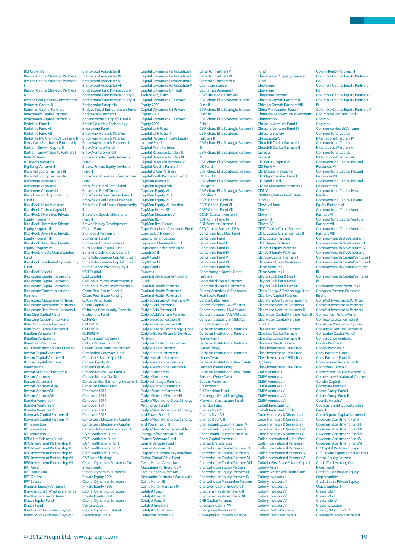Beacon Capital Strategic Partners II Beacon Capital Strategic Partners III Beacon Capital Strategic Partners IV Beacon Group Energy Investment Behrman Capital B Behrman Capital Partners Benchmark Capital Partners Benchmark Capital Partners II Berkshire Fund I Berkshire Fund VI Berkshire Fund VII Berkshire Multifamily Value Fund II Berry Cash Southwest Partnership Bertram Growth Capital II Bertram Growth Equity Partners I Beta Partners BG Media Investors Big Bang Ventures II Birch Hill Equity Partners III Birch Hill Equity Partners IV Birchmere Ventures I Birchmere Ventures I Birchmere Ventures III Black Diamond Opportunity Fund II BlackRock Asset Investors BlackRock Carbon Capital III BlackRock Diversified Private Equity Program I BlackRock Diversified Private Equity Program II **BlackBock Diversified Private** Equity Program III BlackRock Diversified Private Equity Program IV BlackRock Private Opportunities Fund BlackRock Residential Opportunity Fund BlackRock Select I Blackstone Capital Partners IV Blackstone Capital Partners V Blackstone Capital Partners VI Blackstone Communications Partners I Blackstone Mezzanine Partners Blackstone Mezzanine Partners II Blackstone Real Estate Partners II Blue Chip Capital Fund Blue Chip Opportunity Fund Blue Point Capital Partners Blue Point Capital Partners II BlueRun Ventures III BlueRun Ventures IV Bluestream Ventures BNL Fondo Immobiliare Crescita Boston Capital Ventures Boston Capital Ventures II Boston Capital Ventures International Boston Millennia Partners II Boston Ventures I Boston Ventures II Boston Ventures III (A) Boston Ventures VI Boston Ventures VII Boulder Ventures III Boulder Ventures IV Boulder Ventures V Bowmark Capital Partners III Bowmark Capital Partners IV BP Innovation BP Innovation 2 BP Innovation 3 BPEA Life Sciences Fund I BPG Investment Partnership II BPG Investment Partnership III BPG Investment Partnership IV BPG Investment Partnership VII BPG Investment Partnership VIII BPT Arista BPT Hansa Lux **BPT Optima** BPT Secura Braemar Energy Ventures II<br>Brandenburg Frļphasen Fonds Brantley Venture Partners III Brazos Equity Fund III Brazos Fund Brentwood Associates Buyout

BCI Growth V

Brentwood Associates II Brentwood Associates IV Brentwood Associates V Brentwood Associates VI **Bridgepoint Euro Private Equity Bridgepoint Euro Private Equity II** Bridgepoint Euro Private Equity III Bridgepoint Europe IV Bridges Social Entrepreneurs Fund Bridgescale Partners I Brinson Venture Capital Fund III British Columbia Technology Investment Fund Brockway Moran & Partners Brockway Moran & Partners II Brockway Moran & Partners III Brook Venture Fund I Brook Venture Fund II Brooke Private Equity Advisors Fund I Brooke Private Equity Advisors Fund II Brookfield Americas Infrastructure Fund Brookfield Brazil Retail Fund Brookfield Brazil Timber Brookfield Global Timber Fund I Brookfield Real Estate Finance II **Brookfield Real Estate Opportunity** II<br>Brookfield Special Situations Fund II Brown Shipley Development Capital Fund Brynwood Partners V Buchanan Fund I<br>Buchanan Fund I Buchanan Urban Investors Burrill Agbio Capital Fund Burrill Biotechnology Capital I Burrill Life Sciences Capital Fund II Burrill Life Sciences Capital Fund III Butler France Private Equity II C&B Capital I C&B Capital II Caduceus Private Investments III Caduceus Private Investments IV Calare Real Estate Fund III Calare Real Estate Fund IV CalCEF Angel Fund Calera Capital IV California Community Financial Institutions Fund CalPERS I CalPERS II CalPERS III CalPERS IV Caltius Equity Partners II Caltius Partners Fund IV Calvert Social Venture Partners Cambridge Gateway Fund Camden Private Capital III Canaan Equity VII Canaan Equity VIII Canaan Natural Gas Fund X Canaan Natural Gas IX Canadian Gas Gathering Systems II Canadian Office Fund Candover 1989 Candover 1991 Candover 1994 Candover 1997 Candover 2001 Candover 2005 Canterbury Mezzanine Capital Canterbury Mezzanine Capital II Canyon-Johnson Urban Fund II CAP Healthcare Fund CAP Healthcare Fund II CAP Healthcare Fund III CAP Healthcare Fund IV CAP Healthcare Fund V CAP Note Holdings Capital Dynamics European Co-Investments Capital Dynamics European Private Equity 1994 Capital Dynamics European Private Equity 1999 **Capital Dynamics Europea** Private Equity 2001 Capital Dynamics European Venture 2005 Capital Dynamics Global Secondaries 1993

Capital Dynamics Participation III Capital Dynamics Participation V Capital Dynamics UK High Technology Fund Capital Dynamics US Private Equity 2000 Capital Dynamics US Private Equity 2001 Capital Dynamics US Private Equity 2006 Capital Link Fund Capital Link Fund II Capital Partners Private Equity Income Fund Capital Point Partners Capital Resource Lenders I Capital Resource Lenders III Capital Resource Partners IV Capital Royalty Parallel I Capital Z Asia Partners CapitalSouth Partners Fund III CapMan Buyout IX CapMan Buyout VIII Capman Equity VII CapMan Equity VII A CapMan Equity VII B CapMan Equity VII Sweden CapMan Hotels RE CapMan Mezzanine V CapMan RE II CapMan Real Estate I Capri Associates Apartment Fund Capri Select Income I Capri Urban Investors Capricorn Cleantech Fund Capricorn Health-tech Fund CapStreet II CapX Fund I CapX Fund II CapX Fund III Caravela Cardinal Development Capital Fund Cardinal Health Partners Cardinal Health Partners II Cardinal Health Partners III Carlyle Asia Growth Partners IV Carlyle Asia Partners II Carlyle Asia Partners III Carlyle Asia Venture Partners II Carlyle Europe Partners II Carlyle Europe Partners III Carlyle Europe Technology Fund II Carlyle Global Financial Services **Partners** Carlyle Infrastructure Partners Carlyle Japan Partners Carlyle Japan Partners II Carlyle Mexico Partners Carlyle Mezzanine Partners Carlyle Mezzanine Partners II Carlyle Partners IV Carlyle Partners V Carlyle Strategic Partners Carlyle Strategic Partners II Carlyle Venture Partners II Carlyle Venture Partners III Carlyle/Riverstone Global Energy And Power Fund I Carlyle/Riverstone Global Energy and Power Fund II Carlyle/Riverstone Global Energy and Power Fund III Carlyle/Riverstone Renewable Energy Infrastructure Fund I Carmel Software Fund Carmel Venture Fund II Carmel Ventures III Carpenter Community Bancfund CarVal Global Value Fund Castle Harlan Australian Mezzanine Partners I USA Castle Harlan Australian Mezzanine Partners II Worldwide Castle Harlan III Castle Harlan Partners IV Catalyst Fund I Catalyst Fund II Catalyst Fund III Catalyst Investors Catalyst UK Partners Catterton Partners III

Capital Dynamics Participation I Capital Dynamics Participation II Catterton Partners V

Fund

Catterton Partners VI Catterton Partners VI-B Cauris Croissance Cauris Investissement CB Institutional Fund VIII CB Richard Ellis Strategic Europe Fund II CB Richard Ellis Strategic Europe Fund III CB Richard Ellis Strategic Partners Asia II CB Richard Ellis Strategic Partners I CB Richard Ellis Strategic Partners II CB Richard Ellis Strategic Partners III CB Richard Ellis Strategic Partners IV CB Richard Ellis Strategic Partners UK Fund I CB Richard Ellis Strategic Partners UK Fund III CB Richard Ellis Strategic Partners US Opp V CB Richard Ellis Strategic Partners US Value V CBPE Capital Fund VII CBPE Capital Fund VI CBPE Capital Fund VIII CCMP Capital Investors II CDH China Fund IV CDH Venture Partners II CEA Capital Partners USA Centennial Bus. Dev. Fund Centennial Fund Centennial Fund II Centennial Fund III Centennial Fund IV Centennial Fund V Centennial Fund VI Centennial Fund VII Centerbridge Special Credit Partners **Centerfield Capital Partners** Centerfield Capital Partners II Central American & Caribbean Real Estate Fund I Central Valley Fund Centre Investors II & Affiliates Centre Investors III & Affiliates Centre Investors IV & Affiliates Centre Investors V & Affiliates CEO Venture Fund Cerberus Institutional Partners Cerberus Institutional Partners (Series Four) Cerberus Institutional Partners (Series Three) Cerberus Institutional Partners (Series Two) Cerberus Institutional Real Estate Partners (Series One) Cerberus Institutional Real Estate Partners (Series Two) Ceyuan Ventures II CH Partners II CH Transition Fund Challenger Mitsui Emerging Markets Infrastructure Fund Chandos Fund Charles River VI Charles River VII Charles River VIII Charlesbank Equity Partners IV Charlesbank Equity Partners V Charlesbank Equity Partners VII Chart Capital Partners II Charter Life Sciences Charterhouse Capital Partners IX Charterhouse Capital Partners V Charterhouse Capital Partners VI Charterhouse Capital Partners VIII Charterhouse Equity Partners Charterhouse Equity Partners III Charterhouse Equity Partners IV Charterhouse Mezzanine Partners Chartwell Capital Investors II Chatham Investment Fund II Chatham Investment Fund III CHB Capital Partners I Chequers Capital XV Cherry Tree Ventures IV peake Property Finance

Chesapeake Property Finance Fund II Cheyenne II Cheyenne III Cheyenne Partners Chicago Growth Partners II Chicago Growth Partners VIII China Privatization Fund I China Walden Venture Inv ChinaVest IV Chrysalis Ventures Fund II Chrysalis Ventures Fund III Chrysalix Energy II ChrysCapital V Churchill Capital Partners I Churchill Capital Partners II Ciclad 2 Ciclad 4 CID Equity Capital VIII CID Fund V CID Mezzanine Capital CID Opportunities Fund I CID Seed Fund CIGNA Mezzanine Partners II CIM IV CIMB-Mapletree Real Estate Fund 1<br>CimÃ<sup>3</sup>vel fund Cinven I Cinven II Cinven III Cinven IV CITIC Capital China Partners CITIC Capital China Partners II CITIC Equity Partners CITIC Japan Partners Clairvest Equity Partners II Clairvest Equity Partners III Clairvue Capital Partners I Claremont Creek Ventures II Clarus Ventures Clarus Ventures II Clayton Dubilier & Rice I Clayton Dubilier & Rice II Clayton Dubilier & Rice III Clean Energy & Technology Fund Clearlake Capital Partners II Clearstone Venture Partners I-A Clearstone Venture Partners II Clearstone Venture Partners III Clearwater Capital Partners Fund II Clearwater Capital Partners Fund III Clearwater Capital Partners I Clessidra Capital Partners Clessidra Capital Partners II Cleveland Venture Fund Close Investment 1988 Fund Close Investment 1994 Fund Close Investment 1997 (Top Up) Fund Close Investment 1997 Fund CMEA Ventures I CMEA Ventures II CMEA Ventures III CMEA Ventures IV CMEA Ventures V CMEA Ventures VI CMEA Ventures VII Cobalt Industrial REIT Cobalt Industrial REIT II Code Hennessy & Simmons I Code Hennessy & Simmons II Code Hennessy & Simmons III Code Hennessy & Simmons IV Code Hennessy & Simmons V Coller International III NatWest Coller International Partners II Coller International Partners III Coller International Partners IV Coller International Partners V Colonial First State Private Capital Colony Asia I Colony Distressed Credit Fund Colony Investors II Colony Investors III Colony Investors IV Colony Investors V Colony Investors VI Colony Investors VII Colony Investors VIII Colony Realty Partners Colony Realty Partners II

Columbia Capital Equity Partners . . .<br>Columbia Capital Equity Partr Columbia Capital Equity Partners II Columbia Capital Equity Partners Columbia Capital Equity Partners V Columbine Venture Fund II Colyzeo I Colyzeo II Commerce Health Ventures Commonfund Capital International Partners IV Commonfund Capital International Partners V Commonfund Capital International Partners VI Commonfund Capital Natural Resources VI Commonfund Capital Natural Resources VII Commonfund Capital Natural Resources VIII Commonfund Capital New Leaders Commonfund Capital Private Equity Partners VII Commonfund Capital Venture Partners VI Commonfund Capital Venture Partners VII Commonfund Capital Venture Partners VIII Commonwealth BioVentures II Commonwealth BioVentures III Commonwealth BioVentures IV Commonwealth BioVentures V Commonwealth Capital Ventures I Commonwealth Capital Ventures II Commonwealth Capital Ventures III Commonwealth Capital Ventures IV Communications Ventures III Compass Partners European Equity ComVest Investment Partners ComVest Investment Partners II ComVest Investment Partners III Connecticut Future Fund Conseco Capital Partners II Consilium Private Equity Fund

Colony Realty Partners III

I-A

I-B

IV

Consumer Venture Partners I<br>Contrarian Capital Fund II Convergence Ventures II Copley Partners 1 Copley Partners 2 Coral Partners Fund I Coral Partners Fund II Core German Residential II Corinthian Capital I Cornerstone Equity Investors IV Cornerstone Rotational Venture Corpfin Capital I Corporate Partners Cortec Group Fund I Cortec Group Fund II Costella Kirsch V Courage Credit Opportunitie Fund II Court Square Capital Partners II Covenant Apartment Fund I Covenant Apartment Fund II Covenant Apartment Fund III Covenant Apartment Fund IV Covenant Apartment Fund V Covenant Apartment Fund VI CPI Capital Partners Europe CPR Private Equity Selection No 1 Craton Equity Partners I Credit Card Holding Co-Investment Credit Suisse Private Equity Opportunities I Credit Suisse Private Equity Opportunities II Crescendo I Crescendo II Crescendo IV Crescent Capital I Cressey & Co. Fund IV Crestview Capital Partners II

Brentwood Associates Buyout II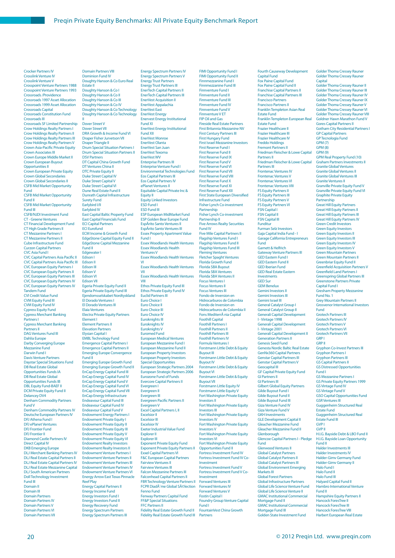Energy Spectrum Partners IV

Crocker Partners IV Crosslink Venture IV Crosslink Venture V Crosspoint Venture Partners 1988 Crosspoint Venture Partners 1993 Crossroads /Providence Crossroads 1997 Asset Allocation Crossroads 1999 Asset Allocation Crossroads Capital Crossroads Constitution Fund Crossroads III Crossroads SF Limited Partnership Crow Holdings Realty Partners I Crow Holdings Realty Partners II Crow Holdings Realty Partners III Crow Holdings Realty Partners V Crown Asia-Pacific Private Equity Crown Associates III Crown Europe Middle Market II Crown European Buyout Opportunities II Crown European Private Equity Crown Global Secondaries Crown Global Secondaries II CSFB Mid Market Opportunity Fund CSFB Mid Market Opportunity Fund II CSFB Mid Market Opportunity Fund III CSFB/NJDI Investment Fund CT - Greene Ventures CT Financial Development Fund CT High Grade Partners II CT Mezzanine Partners I CT Mezzanine Partners I Cube Infrastructure Fund Curzon Capital Partners CVC Asia Fund I CVC Capital Partners Asia Pacific II CVC Capital Partners Asia Pacific III CVC European Equity Partners I CVC European Equity Partners II CVC European Equity Partners III CVC European Equity Partners IV CVC European Equity Partners IV Tandem Fund CVI Credit Value Fund CVM Equity Fund III CVM Equity Fund IV Cypress Equity Fund Cypress Merchant Banking Partners I Cypress Merchant Banking Partners II DAG Ventures Fund III Dahlia Europe Darby Converging Europe Mezzanine Fund Darwin Fund I Davis Venture Partners Daystar Special Situations Fund DB Real Estate Global Opportunities Funds IA DB Real Estate Global Opportunities Funds IB DBL Equity Fund-BAEF II DCM Private Equity Fund II Delancey DV4 Denham Commodity Partners Fund V Denham Commodity Partners IV Deutsche European Partners IV DFJ Athena Fund I DFJ ePlanet Ventures DFJ Frontier Fund DFJ Frontier II Diamond Castle Partners IV Direct Capital IV DKB Emerging Europe DLJ Merchant Banking Partners IV DLJ Real Estate Capital Partners II DLJ Real Estate Capital Partners IV DLJ Real Estate Mezzanine Capital DLJ South American Partners Doll Technology Investment Fund III Domain II Domain III

Doughty Hanson & Co IV Doughty Hanson & Co Technology Doughty Hanson & Co Technology II Dover Street V Dover Street VII DRA Growth & Income Fund VI Draper Fisher Jurvetson VII Draper Triangle II Drum Special Situation Partners I Drum Special Situation Partners II DSV Partners DT Capital China Growth Fund DT Ventures China II DTC Private Equity II Duke Street Capital IV Duke Street Capital V Duke Street Capital VI Dune Real Estate Fund II Dunrath Capital Infrastructure Surety Fund Earlybird I/II Earlybird IV Early Sharv<br>East Capital Baltic Property Fund East Capital Financials Fund ECI Capital Partners ECI Eurofund ECM Income & Growth Fund EdgeStone Capital Equity Fund II EdgeStone Capital Mezzanine Fund II Edgewater I Edison I Edison II Edison III Edison V Edison VI Edison VII Egeria Private Equity Fund II Egeria Private Equity Fund III Ejendomsselskabet Nordtyskland El Dorado Ventures I El Dorado Ventures III Elaia Ventures Electra Private Equity Partners Element I Element Partners II Elevation Partners Elysian Capital I EMBL Technology Fund Emergence Capital Partners I Emergence Capital Partners II Emerging Europe Convergence Fund II Emerging Europe Growth Fund Emerging Europe Growth Fund II EnCap Energy Capital Fund III EnCap Energy Capital Fund IV EnCap Energy Capital Fund V EnCap Energy Capital Fund VI EnCap Energy Capital Fund VII EnCap Energy Infrastructure Endeavour Capital Fund III Endeavour Capital Fund IV Endeavour Capital Fund V Endowment Energy Partners I Endowment Private Equity I Endowment Private Equity II Endowment Private Equity III **Endowment Private Equity V** Endowment Private Equity VI Endowment Realty Investors Endowment Realty Investors II Endowment Venture Partners I Endowment Venture Partners II Endowment Venture Partners III Endowment Venture Partners IV Endowment Venture Partners VI Energy Arrow East Texas Pinnacle Reef Play Energy Capital Partners II Energy Income Fund Energy Investors Fund I Energy Investors Fund II Energy Recovery Fund Energy Spectrum Partners Energy Spectrum Partners III

Domain Partners VIII Dominion Fund IV Doughty Hanson & Co Euro Real

Doughty Hanson & Co I Doughty Hanson & Co II Doughty Hanson & Co III

Estate II

Energy Spectrum Partners V Energy Trust Partners Energy Trust Partners III EnerTech Capital Partners II EnerTech Capital Partners III EnerVest Acquisition II EnerVest Appalachia EnerVest East EnerVest Energy Enervest Energy Institutional Fund XI EnerVest Energy Institutional Fund XII EnerVest Monroe EnerVest Olanta EnerVest San Juan EnerVest Texoma EnerVest WV Enterprise Partners III Enterprise Venture Fund I Environmental Technologies Fund Eos Capital Partners III Eos Capital Partners IV ePlanet Ventures II Equitable Capital Private Inc & Equity II Equity Linked Investors ESD Fund I ESD Fund III ESP European MidMarket Fund ESP Golden Bear Europe Fund Espà rito Santo Ventures II Espà rito Santo Ventures III Essex Property Apartment Value Fund I Essex Woodlands Health Ventures Essex Woodlands Health Ventures V Essex Woodlands Health Ventures Essex Woodlands Health Ventures Essex Woodlands Health Ventures VIII Ethos Private Equity Fund III Ethos Private Equity Fund IV Euclid Partners III Euro Choice I Euro Choice II Euro Choice III Euro Choice IV Euroknights III Euroknights IV Euroknights V Euromed Fund European Medical Ventures European Mezzanine Fund I European Mezzanine Fund I European Property Investors European Property Investors Special Opportunities European Strategic Partners 2004 European Strategic Partners 2006 Eurozone Fund of Funds Evercore Capital Partners II Evergreen I Evergreen II Evergreen III Evergreen Pacific Partners II Evergreen V Excel Capital Partners I, II Excelsior II Excelsior III Excelsior IV Exeter Industrial Value Fund Explorer I Explorer III Exponent Private Equity Fund Exponent Private Equity Partners II Exxel Capital Partners VI F&C European Capital Partners Fairview Ventures II Fairview Ventures III Falcon Mezzanine Partners III Falconhead Capital Partners II FBR Technology Venture Partners II FCPR DiadĂ"me Global SĂ©lection Fenno Fund Fenway Partners Capital Fund FF&P Special Situations FFC Partners II Fidelity Real Estate Growth Fund II Fidelity Real Estate Growth Fund III

VI

VII

FIMI Opportunity Fund II Finnmezzanine Fund I Finnmezzanine Fund III Finnventure Fund I Finnventure Fund I Finnventure Fund III Finnventure Fund IV Finnventure Fund V Finnventure V ET FIP Oil and Gas Fireside Real Estate Partners First Britannia Mezzanine NV First Century Partners III First Hungary Fund First Israel Mezzanine Investors First Reserve Fund I First Reserve Fund II First Reserve Fund IX First Reserve Fund V First Reserve Fund VI First Reserve Fund VII First Reserve Fund VIII First Reserve Fund X First Reserve Fund XI First Reserve Fund XII First State European Diversified Infrastructure Fund Fisher Lynch Co-investment Partnership Fisher Lynch Co-investment Partnership II Five Arrows Realty Securities Fund IV Five Mile Capital Partners II Flagship Ventures Fund I Flagship Ventures Fund II Flagship Ventures Fund III Fleming Ventures Fletcher Spaght Ventures Florida Growth Fund Florida SBA Buyout Florida SBA Ventures Florida SBA Ventures II Focus Ventures I Focus Ventures II Focus Ventures III Fondo de Inversion en Hidrocarburos de Colombia Fondo de Inversion en Hidrocarburos de Colombia II Fons Mediterrà nia Capital Foothill Capital Foothill Partners I Foothill Partners II Foothill Partners III Foothill Partners IV Formula Ventures I Forstmann Little Debt & Equity Buyout III Forstmann Little Debt & Equity Buyout IV Forstmann Little Debt & Equity Buyout VI Forstmann Little Debt & Equity Buyout VII Forstmann Little Equity IV Forstmann Little Equity V Fort Washington Private Equity Investors II Fort Washington Private Equity Investors III Fort Washington Private Equity Investors IV Fort Washington Private Equity Investors V Fort Washington Private Equity stors VI Fort Washington Private Equity Opportunities Fund II Fortress Investment Fund IV Fortress Investment Fund IV Co-Investment Fortress Investment Fund V Fortress Investment Fund V Co-Investment Forward Ventures III Forward Ventures IV Forward Ventures V Fostin Capital I Foundry Group Venture Capital Fund I FountainVest China Growth Partners

FIMI Opportunity Fund I

Capital Fund Fox Paine Capital Fund Fox Paine Capital Fund II Franchise Capital Partners II Franchise Capital Partners III Francisco Partners Francisco Partners II Franklin Templeton Asian Real Estate Fund Franklin Templeton European Real Estate Fund Frazier Healthcare II Frazier Healthcare III Frazier Healthcare IV Freddo Holdings Fremont Partners II Friedman Fleischer & Lowe Capital Partners II Friedman Fleischer & Lowe Capital Partners III Frontenac Ventures IV Frontenac Ventures V Frontenac Ventures VI Frontenac Ventures VIII FS Equity Partners II FS Equity Partners III FS Equity Partners V FS Equity Partners VI FSN Capital I FSN Capital II FSN Capital III Funditur Furman Selz Investors Gaja Capital India Fund - I Garage California Entrepren Fund Garnett & Helfrich Gateway Venture Partners III GED Eastern Fund I GED Eastern Fund II GED Iberian Fund GED Real Estate Eastern Investments GED Sur GEM Benelux Gemini Investors I Gemini Investors III Gemini Israel III General Catalyst Group I General Catalyst Group II Generali Capital Development I - Vintage 1998 Generali Capital Development I - Vintage 2001 Generali Capital Development II Generation Partners II Genesis Seed Fund Genesta Nordic Baltic Real Estate GenNx360 Capital Partners Genstar Capital Partners III Genstar Capital Partners V Geocapital III GF Capital Private Equity Fund GI Partners II GI Partners III Gilbert Global Equity Partners Gilde Buyout Fund I Gilde Buyout Fund II Gilde Buyout Fund III Giza Venture Fund IV Giza Venture Fund V GKH Investments GLE Development Capital II Gleacher Mezzanine Fund Gleacher Mezzanine Fund II **Glenborough** Glencoe Capital Partners I - Pledge Fund Glenwood Ventures II Global Catalyst Partners Global Catalyst Partners II Global Catalyst Partners III Global Environment Emerging Markets III Global Forest Partners Global Infrastructure Partners Global Life Science Venture Fund Global Life Science Venture II GMAC Institutional Commercial Mortgage Fund II **GMAC Institutional Commercial** Mortgage Fund III Golden State Investment Fund

Fourth Causeway Development

Golder Thoma Cressey Rauner Capital Golder Thoma Cressey Rauner II Golder Thoma Cressey Rauner III Golder Thoma Cressey Rauner IV Golder Thoma Cressey Rauner IX Golder Thoma Cressey Rauner V Golder Thoma Cressey Rauner VI Golder Thoma Cressey Rauner VIII Goldner Hawn Marathon Fund V Gores Capital Partners II Gotham City Residential Partners I GP Capital Partners GP Tecnologia Fund GPM (7) GPM (8) GPM (9) GPM Real Property Fund (10) Graham Partners Investments II Granite Global Ventures Granite Global Ventures II Granite Global Ventures III Granite Ventures II Granville Private Equity Fund V Granville Private Equity Fund VI Graphite Private Equity **Partnership** Great Hill Equity Partners Great Hill Equity Partners II Great Hill Equity Partners III Great Hill Equity Partners IV Green Credit Investors Green Equity Investors Green Equity Investors II Green Equity Investors III Green Equity Investors IV Green Equity Investors V Green Mountain Partners Green Mountain Partners II Greenbriar Equity Fund II **Greenfield Acquisition Partners V** Greenfield Land Partners I Greenspring Global Partners III Greenstone Partners Private Capital Fund I Gresham Property Mezzanine Fund No. 1 Grey Mountain Partners II Grosvenor International Investors Fund Grotech Partners III Grotech Partners IV Grotech Partners V Grotech Partners VI Grotech Partners VII GRP GRP II Gryphon Co-Invest Partners III Gryphon Partners I Gryphon Partners III GS Capital Partners II GS Distressed Opportunities Fund I GS Mezzanine Partners I GS Private Equity Partners 1999 GS Vintage Fund IV GS Vintage Fund V GSO Capital Opportunities Fund GSR Ventures III Guggenheim Structured Real Estate Fund Guggenheim Structured Real Estate Fund III GVP I GVP II H.I.G. Bayside Debt & LBO Fund II H.I.G. Bayside Loan Opportunity Fund II Halder Investments III Halder Investments IV Halder-Gimv Germany Fund Halder-Gimv Germany II Halo Fund I Halo Fund II Halo Fund III Halyard Capital Fund II Hambro International Venture Fund II Hampshire Equity Partners II Hancock ForesTree II Hancock ForesTree III Hancock ForesTree VIII

Golder Thoma Cressey Rauner

Harbert European Real Estate

Domain Partners Domain Partners IV Domain Partners V Domain Partners VI Domain Partners VII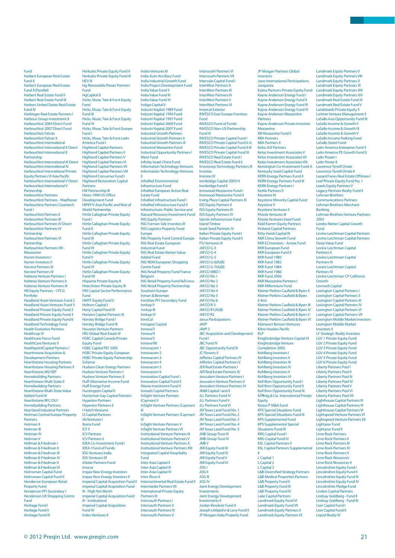Harbert European Real Estate Fund II Harbert European Real Estate Fund II (Parallel) Harbert Real Estate Fund II Harbert Real Estate Fund III Harbert United States Real Estate Fund IV Harbinger Real Estate Partners I Harbour Group Investment II HarbourVest 2004 Direct Fund HarbourVest 2007 Direct Fund HarbourVest Falcon HarbourVest Falcon II HarbourVest International HarbourVest International II Direct HarbourVest International II Partnership HarbourVest International III Direct HarbourVest International IV HarbourVest International Private Equity Partners VI Asia Pacific HarbourVest International V Direct HarbourVest International V Partnership HarbourVest Partners HarbourVest Partners - Mayflower<br>HarbourVest Partners Cleantech Fund I HarbourVest Partners II HarbourVest Partners III HarbourVest Partners IV Direct HarbourVest Partners IV **Partnership** HarbourVest Partners VI Partnership HarbourVest Partners VIII - Mezzanine Harren Investors I Harren Investors II Harvest Partners III Harvest Partners IV Hatteras Venture Partners I Hatteras Venture Partners II Hatteras Venture Partners III HB Equity Partners - CPCG Portfolio Headland Asian Ventures Fund 2 Headland Asian Ventures Fund 3 Headland Private Equity Fund 2 Headland Private Equity Fund 3 Headland Private Equity Fund 6 Headland Technology Fund Health Evolution Partners Healthcap IV Healthcare Focus Fund HealthCare Ventures II HealthpointCapital Partners I Hearthstone Acquisition & Development Partners Hearthstone Housing Partners Hearthstone Housing Partners II Hearthstone MS/SEP Homebuilding Partners Hearthstone Multi-State II Homebuilding Partners Hearthstone Multi-State Value Added Fund III Hearthstone RFC/OLY Homebuilding Partners Heartland Industrial Partners Heitman Central Europe Property **Partners** Heitman II Heitman III Heitman IV Heitman V Hellman & Friedman I Hellman & Friedman II Hellman & Friedman III Hellman & Friedman IV Hellman & Friedman V Hellman & Friedman VI Helmsman Capital Fund Helmsman Capital Fund II Henderson European Retail Property Fund roperty rund<br>Ienderson PFI Secondary I Henderson UK Shopping Centre Fund Heritage Fund I Heritage Fund II Heritage Fund III

Fund

Herkules Private Equity Fund II Herkules Private Equity Fund III HEV III<br>Ha Rene wer Partne **Fund** HgCapital 6 Hicks, Muse, Tate & Furst Equity Fund Hicks, Muse, Tate & Furst Equity Fund III Hicks, Muse, Tate & Furst Equity Fund IV Hicks, Muse, Tate & Furst Europe Fund I Hicks, Muse, Tate & Furst Latin America Fund I Highland Capital Partners Highland Capital Partners II Highland Capital Partners V Highland Capital Partners VI Highland Capital Partners VII Highland Capital Partners VIII Highland Consumer Fund I Highland Restoration Capital **Partners** Hill Partnership III Hines 1999 US Offi ce Development Fund HIPEP V-Asia Pacific and Rest of World Partnership Hirtle Callaghan Private Equity Fund I Hirtle Callaghan Private Equity Fund II Hirtle Callaghan Private Equity Fund III Hirtle Callaghan Private Equity Fund IV Hirtle Callaghan Private Equity Fund V Hirtle Callaghan Private Equity Fund VI Hirtle Callaghan Private Equity Fund VII Hispania Private Equity II HitecVision Private Equity III HM Capital Sector Performance Fund HMTF Equity Fund V Holtron Capital I Hony Capital Fund III Horizon Capital Partners III Horsley Bridge Fund I Horsley Bridge Fund III Houston Venture Partners HRJ Global Real Estate III HSBC Capital Canada Private Equity Fund HSBC Capital PEF 2005 HSBC Private Equity European HSBC Private Equity Partnership Scheme Hudson Clean Energy Partners Hudson Venture Partners I Hudson Venture Partners II Huff Alternative Income Fund Huff Energy Fund Huntington Capital II Huntsman Gay Capital Partners Hyperion Partners Hyperion Partners II I-Hatch Ventures I2 Capital Partners IAI Ventures I Iberia Fund ICF II ICV Partners ICV Partners II IDEA Co-Investment Fund I IDEA I Fund of Funds IDG Ventures India IDG Ventures SF iGlobe Partners Fund Imocar Impax New Energy Investors Impax New Energy Investors II Imperial Capital Acquisition Fund II Imperial Capital Acquisition Fund III - High Net Worth Imperial Capital Acquisition Fund III - Institutional Imperial Capital Acquisition Fund IV Index Ventures II

#### Index Ventures III India Auto Ancillary Fund India Industrial Growth Fund **India Project Develop** India Value Fund II India Value Fund I India Value Fund IV Indigo Capital V Industri Kapital 1989 Fund Industri Kapital 1994 Fund Industri Kapital 1997 Fund Industri Kapital 2000 Fund Industri Kapital 2007 Fund Industrial Growth Partners Industrial Growth Partners II Industrial Growth Partners III Industrial Mezzanine Fund Industrial Opportunity Partners I INext Fund Infinity Israel-China Fund Information Technology Ventures Information Technology Ventures II InfraRed Environmental Infrastructure Fund InfraRed European Active Real Estate Fund InfraRed Infrastructure Fund I InfraRed Infrastructure Fund II Infrastructure, Public Service and Natural Resource Investment Fund ING Equity Partners ING Furman Selz Investors III ING Logistics Property Fund Europe ING Property Fund Central Europe ING Real Estate European Industrial Fund ING Real Estate Iberian Value Added Fund ING REIM European Shopping Centre Fund ING Retail Property Fund France **Belgium** ING Retail Property Fund Ibérica ING Retail Property Partnership Southern Europe Inman & Bowman Innisfree PFI Secondary Fund Innkap II Innkap III Innkap IV InnoCal Innogest Capital Innova/3 Innova/4 Innova/5 Innova/98 Innovacom Innovacom 2 Innovacom 3 Innovacom 4 Innovacom 5 Innovacom 6 Innovation Capital Fund I Innovation Capital Fund II iNovia Investment Fund II Inroads Capital Partners InSight Venture Partners (Cayman) II InSight Venture Partners (Cayman) III InSight Venture Partners (Cayman) iv. InSight Venture Partners V InSight Venture Partners VI Institutional Venture Partners III Institutional Venture Partners V Institutional Venture Partners X Institutional Venture Partners XIII Integrated Capital Hospitality **Fund** Inter-Asia Capital II Inter-Asia Capital III Inter-Asia Capital IV Inter-Risco II Inter Tilbeo II<br>Intercontinental Real Estate Fund II Intermedia Partners VII Internicula I ditilers vii<br>International Private Equity Partners III Intersouth Partners I Intersouth Partners II Intersouth Partners IV Intersouth Partners V

Intersouth Partners VI Intersouth Partners VII Intervale Capital Fund I nterWest Partners I InterWest Partners III **InterWest Partners IV** InterWest Partners V InterWest Partners VI Invercat Exterior INVESCO East Europe Frontiers Fund INVESCO Fund of Funds INVESCO Non-US Partnership Fund III INVESCO Private Capital Fund I INVESCO Private Capital Fund II-A INVESCO Private Capital Fund II-B INVESCO Private Capital Fund III INVESCO Real Estate Fund I INVESCO Real Estate Fund II Investcorp Technology Partners III Investec Invision IV Ironbridge Capital 2003/4 Ironbridge Fund II Ironwood Mezzanine Fund I Ironwood Mezzanine Fund II Irving Place Capital Partners III ISIS Equity Partners II ISIS Equity Partners III ISIS Equity Partners IV Islamic Infrastructure Fund Island Timber Israel Seed Partners IV Italian Private Equity Fund I Italian Private Equity Fund II ITU Ventures III JAFCO G-3 JAFCO G-4 JAFCO G-5 JAFCO G-6(A)(B)  $IAFCO G-7(A)/R$ JAFCO MBO 1 JAFCO No 1 JAFCO No 2 JAFCO No 3 JAFCO No 4 JAFCO No 5 JAFCO No 6 JAFCO R-3 JAFCO R1(A)(B) JAFCO R2 Janus Participations JAVP  $JAVP$  2 JBC Acquisition and Development Fund I JBC Fund IV **JBC Opportunity Fund III** JC Flowers II Jefferies Capital Partners IV Jefferies Capital Partners V JER Real Estate Partners I JER Real Estate Partners IV Jerusalem Venture Partners I Jerusalem Venture Partners II Jerusalem Venture Partners IV JK&B Capital I and II JLL Partners Fund IV JLL Partners Fund V JLL Partners Fund VI JM Texas Land Fund No. 1 JM Texas Land Fund No. 2 JM Texas Land Fund No. 3 JM Texas Land Fund No. 4 JM Texas Land Fund No. 5 JMB Group Trust III JMB Group Trust IV JMB V JMI Equity Fund III JMI Equity Fund IV JMI Equity Fund V JMI Equity Fund VI JOG I JOG II JOG III JOG IV Joint Energy Development Investments Joint Energy Development Investments II Jordan Resolute Fund II Joseph Littlejohn & Levy Fund II JP Morgan India Property Fund

JP Morgan Partners Global Investors Juno International Participations Junqueira Kairos Partners Private Equity Fund Kayne Anderson Energy Fund I Kayne Anderson Energy Fund II Kayne Anderson Energy Fund III Kayne Anderson Energy Fund IV Kayne Anderson Mezzanine **Partners** Kayne Anderson Private Investors Mezzanine KB Mezzanine Fund II KBA Partners KBA Partners II Kelso ASI Partners Kelso Investment Associates V Kelso Investment Associates VII Kelso Investment Associates VIII Kensington Co-Investment Fund A Kentucky Seed Capital Fund KERN Energy Partners Fund II KERN Energy Partners Fund III KERN Energy Partners I Kettle Partners II Keystone IV Keystone Minority Capital Fund Keystone V Keystone Ventures II Khosla Ventures III Khosla Ventures Seed Fund Kidd Kamm Equity Partners Kirtland Capital Partners Kitty Hawk Capital III KKR China Growth Fund KKR E2 Investors - Annex Fund KKR European Fund KKR European Fund II KKR Fund 1980 KKR Fund 1982 KKR Fund 1984 KKR Fund 1986 KKR Fund 2006 KKR Mezzanine Partners I KKR Millennium Fund Kleiner Perkins Caufield & Byers II Kleiner Perkins Caufield & Byers II Ann Kleiner Perkins Caufield & Byers III Kleiner Perkins Caufield & Byers IV Kleiner Perkins Caufield & Byers V Kleiner Perkins Caufield & Byers VI Kleinwort Benson Ventures **Kline Hawkes Pacific** KLP Knightsbridge Venture Capital VI Knightsbridge Venture Completion 2005 Kohlberg Investors I Kohlberg Investors II Kohlberg Investors III Kohlberg Investors IV Kohlberg Investors V Kohlberg Investors VI Koll Bren Opportunity Fund I Koll Bren Opportunity Fund II Koll Bren Opportunity Fund III KĶnig & Cie. International Private **Equity** Korea IT M&A Fund KPS Special Situations Fund KPS Special Situations Fund III KPS Supplemental Fund KPS Supplemental Special Situations Fund III **KRG** Capital Fund KRG Capital Fund IV KSL Capital Partners II KSL Capital Partners Supplemental II L Capital 1 L Capital 2 L Capital 3 L&B Diversified Strategy Partners L&B Medical Properties Partners L&B Property Fund II L&B Property Fund III L&B Property Fund IV Lake Capital Partners Landmark Equity Fund VI Landmark Equity Fund VII Landmark Equity Partners II Landmark Equity Partners IX

Landmark Equity Partners VIII Landmark Equity Partners X Landmark Equity Partners XI Landmark Equity Partners XIII Landmark Equity Partners XIV Landmark Real Estate Fund IV Landmark Real Estate Fund V Landsbanki Private Equity II Larimer Venture Management I LaSalle Asia Opportunity Fund III LaSalle Income & Growth II LaSalle Income & Growth III LaSalle Income & Growth V LaSalle Income Parking Fund LaSalle Street Fund Latin America Enterprise Fund II Latin America PE Growth Fund II Latin Power I Latin Power II Lawrence Tyrrell Ortale Lawrence Tyrrell Ortale II Lazard Freres Real Estate Offshore I Leaf Private Equity Fund No. 1 Leeds Equity Partners V Legacy Partners Realty Fund II Lehman Brothers Communications Partners Lehman Brothers Merchant Banking Lehman Brothers Venture Partners 2003 Lereko Metier Capital Growth Fund Levine Leichtman Capital Partners Levine Leichtman Capital Partners Deep Value Fund Levine Leichtman Capital Partners II Levine Leichtman Capital Partners III Levine Leichtman Capital Partners IV Levine Leichtman CP California Growth Levmark Capital Lexington Capital Partners I Lexington Capital Partners II Lexington Capital Partners III Lexington Capital Partners IV Lexington Capital Partners VI Lexington Capital Partners VII Lexington Middle Market Investors Lexington Middle Market Investors II LF Strategic Realty Investors LGV 1 Private Equity Fund LGV 2 Private Equity Fund LGV 3 Private Equity Fund LGV 4 Private Equity Fund LGV 5 Private Equity Fund LGV 6 Private Equity Fund Liberty Partners Pool I Liberty Partners Pool II Liberty Partners Pool III Liberty Partners Pool IV Liberty Partners Pool V Liberty Partners Pool VI Liberty Partners Pool VII Lighthouse Capital Partners III Lighthouse Capital Partners IV Lighthouse Capital Partners VI Lightspeed Venture Partners VI Lightspeed Venture Partners VII Lightyear Fund Lightyear Fund II Lime Rock Partners Lime Rock Partners II Lime Rock Partners III Lime Rock Partners IV Lime Rock Partners V Lime Rock Resources Lime Rock Resources II Lincolnshire Equity Fund I Lincolnshire Equity Fund II Lincolnshire Equity Fund III Lincolnshire Equity Fund IV Lincolnshire Pledge Fund Linden Capital Partners Lindsay Goldberg - Fund II Lindsay Goldberg - Fund III Lion Capital Fund I Lion Capital Fund II Liquid Realty IV

Landmark Equity Partners V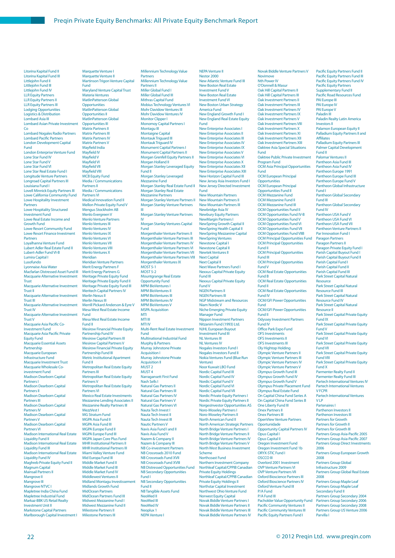Litorina Kapital Fund II Litorina Kapital Fund III Littlejohn Fund II Littlejohn Fund III Littlejohn Fund IV LLR Equity Partners LLR Equity Partners II LLR Equity Partners III Lodging Opportunities Logistics & Distribution Lombard Asia III Lombard Asian Private Investment Co Lombard Nogales Radio Partners **Lombard Pacific Partners** London Development Capital Fund London Enterprise Venture Fund Lone Star Fund IV Lone Star Fund V Lone Star Fund VI Lone Star Real Estate Fund I Longitude Venture Partners Longroad Capital Partners III Louisiana Fund I Lovell Minnick Equity Partners III Lowe California Community Fund Lowe Hospitality Investment Partners Lowe Hospitality Structured Investment Fund Lowe Real Estate Income and Growth Fund Lowe Resort Community Fund Lowe Resort Finance Investment **Partners** Loyalhanna Venture Fund Lubert Adler Real Estate Fund II Lubert-Adler Fund VI-B Lumira Capital I Lusofundo Lyonnaise Asia Water Macfarlan Distressed Asset Fund III Macquarie Alternative Investment Trust Macquarie Alternative Investment **Trust II**<br>Macqu e Alternative Investment Trust III Macquarie Alternative Investment Trust IV Macquarie Alternative Investment Trust V Macquarie Asia Pacific Co-Investment Fund Macquarie Asia Pacific Private Equity Fund Macquarie Essential Assets Partnership Macquarie European Infrastructure Fund Macquarie Investment Trust Macquarie Wholesale Coinvestment Fund Madison Dearborn Capital Partners I Madison Dearborn Capital Partners II Madison Dearborn Capital Partners III Madison Dearborn Capital Partners IV Madison Dearborn Capital Partners V Madison Dearborn Capital Partners VI Madison International Real Estate Liquidity Fund II Madison International Real Estate Liquidity Fund III Madison International Real Estate Liquidity Fund IV Maghreb Private Equity Fund II Magnum Capital Mainsail Partners II Mangrove II Mangrove III Mangrove NTVC I Mapletree India China Fund Mapletree Industrial Fund Markaz-BBK US Retail Realty Investment Unit II Markstone Capital Partners Marlborough Capital Investment I

Marquette Venture I Marquette Venture II Martinson Trigon Venture Capital Fund Maryland Venture Capital Trust Materia Ventures MatlinPatterson Global **Opportunities** MatlinPatterson Global Opportunities II MatlinPatterson Global Opportunities III Matrix Partners II Matrix Partners III Matrix Partners IV Matrix Partners V Mayfield India Mayfield IV Mayfield V Mayfield VI Mayfi eld VII Mayfield VIII MCB Equity Fund Media / Communications Partners II Media / Communications Partners VI Medical Innovation Fund II Mellon Private Equity Fund V Mengus Stockholm AB Menlo Evergreen V Menlo Venture Partners Menlo Ventures III Menlo Ventures IV Menlo Ventures IX Menlo Ventures VI Menlo Ventures VII Menlo Ventures VIII Menlo Ventures X Meridian Meridian Venture Partners Merit Energy Partners F Merit Energy Partners G Meritage Private Equity Fund Meritage Private Equity Fund II Meritage Private Equity Fund III Meritech Capital Partners IV Merlin Nexus II Merlin Nexus III Merrill Pickard Anderson & Eyre V Mesa West Real Estate Income Fund Mesa West Real Estate Income Fund II Mesirow Financial Private Equity Partnership Fund IV Mesirow Capital Partners III Mesirow Capital Partners V Mesirow Financial Private Equity Partnership Fund III Metric Institutional Apartment Fund II Metropolitan Real Estate Equity Partners III Metropolitan Real Estate Equity Partners V Metropolitan Real Estate Equity Partners VI Mexico Real Estate Investments Mezzanine Lending Associates II Mezzanine Realty Partners III MezzVest I MG Stratum Fund MGPA Asia Fund II MGPA Asia Fund III MGPA Europe Fund II MGPA Europe Fund III MGPA Japan Core Plus Fund MHR Institutional Partners II MHR Institutional Partners III Miami Valley Venture Fund Mid Europa Fund III Middle Market Fund II Middle Market Fund II Middle Market Fund IV Middlewest Ventures II Midland Montagu Investissement Midlands Growth Fund MidOcean Partners MidOcean Partners Fund III Midwest Mezzanine Fund I Midwest Mezzanine Fund II Milestone Partners II Milestone Partners III

#### Millennium Technology Value Partners Millennium Technology Value Partners II

Miller Global Fund I Miller Global Fund III Mithras Capital Fund Mobius Technology Ventures VI Mohr Davidow Ventures III Mohr Davidow Ventures IV Monitor Clipper I Monomoy Capital Partners I Montagu III Montaigne Capital Montauk Triguard III Montauk Triguard IV Monument Capital Partners I Monument Capital Partners II Morgan Grenfell Equity Partners II Morgan Holland II Morgan Stanley Leveraged Equity Fund II Morgan Stanley Leveraged Mezzanine Fund Morgan Stanley Real Estate Fund II Morgan Stanley Real Estate Mezzanine Partners Morgan Stanley Venture Partners II Morgan Stanley Venture Partners III Morgan Stanley Venture Partners IV Morgan Stanley Ventures Capital Fund Morgenthaler Venture Partners II Morgenthaler Venture Partners III Morgenthaler Venture Partners IV Morgenthaler Venture Partners VI Morgenthaler Venture Partners VII Morgenthaler Venture Partners VIII Morgenthaler Ventures IX  $MOST$  5-1 MOST 5-2 Mountgrange Real Estate Opportunity Fund MPM BioVentures I MPM BioVentures II MPM BioVentures III MPM BioVentures IV MPM BioVentures V MSPA Acquisition MTI MTI III MTI IV Multi-Rent Real Estate Investment Fund Multinational Industrial Fund Murphy & Partners Murray Johnstone Private Acquisition I Murray Johnstone Private Acquisition II MUST 2 MUST 4 Narragansett First Fund Nash Sells I Natural Gas Partners II Natural Gas Partners III Natural Gas Partners IV Natural Gas Partners V Natural Gas Partners VI Nauta Tech Invest I Nauta Tech Invest II Nauta Tech Invest III Nautic Partners V Navis Asia Fund I and II Navis Asia Fund V Nazem & Company II Nazem & Company III NB Co-investment Partners NB Crossroads 2010 Fund **NB Crossroads Fund XVI** NB Crossroads Fund XVIII NB Distressed Opportunities Fund NB Secondary Opportunities Fund I NB Secondary Opportunities Fund II NB Tangible Assets Fund NeoMed II NeoMed III NeoMed IV Neoplux 1 NEPA Venture I

NEPA Venture II Nestor 2000 New Atlantic Venture Fund III New Boston Real Estate Investment Fund V New Boston Real Estate Investment Fund VI New Boston Urban Strategy America Fund New England Growth Fund I **New England Real Estate Equity** Fund New Enterprise Associates I New Enterprise Associates II New Enterprise Associates III New Enterprise Associates IV New Enterprise Associates IX New Enterprise Associates \ New Enterprise Associates VI New Enterprise Associates X New Enterprise Associates XII New Enterprise Associates XIII New Horizon Capital Fund III New Jersey Asia Investors Fund I New Jersey Directed Investment Fund New Mountain Partners New Mountain Partners II New Mountain Partners III Newbridge Asia IV Newbury Equity Partners NewMargin Partners I NewSpring Growth Capital II NewSpring Health Capital II NewSpring Mezzanine Capital NewSpring Ventures Newstone Capital I Newstone Capital II Newtek Ventures II Next Capital Next Capital II Next Wave Partners Fund I Nexxus Capital Private Equity Fund III Nexxus Capital Private Equity Fund V NGEN Partners II NGEN Partners III NGP Midstream and Resources Niam Nordic V Niche Emerging Private Equity Manager Fund Nippon Investment Partners Nitzanim Fund (1993) Ltd. NJHL European Buyout Investment Fund III NL Ventures III NL Ventures IV Nogales Investors Fund I Nogales Investors Fund II Nokia Ventures Fund (Blue Run Venture) Noor Kuwait LBO Fund Nordic Capital Fund III Nordic Capital Fund IV Nordic Capital Fund V Nordic Capital Fund VI Nordic Capital Fund VII Nordic Private Equity Partners I Nordic Private Equity Partners II NorgesInvestor Opportunities AS Noro-Moseley Partners I Noro-Moseley Partners II North American Fund II North American Strategic Partners North Bridge Venture Partners I North Bridge Venture Partners II North Bridge Venture Partners IV North Bridge Venture Partners V North West Business Investment Scheme Northcoast Fund Northern Investment Company Northleaf Capital/CPPIB Canadian Private Equity Holdings Northleaf Capital/CPPIB Canadian Private Equity Holdings II **Northstar Capital Investment** Northwest Ohio Venture Fund Norwest Equity Capital Novak Biddle Venture Partners I Novak Biddle Venture Partners II Novak Biddle Venture Partners III Novak Biddle Venture Partners IV

Nth Power IV O'Donnell & Masur Oak Hill Capital Partners II Oak Hill Capital Partners III Oak Investment Partners II Oak Investment Partners III Oak Investment Partners IV Oak Investment Partners IX Oak Investment Partners V Oak Investment Partners VIII Oak Investment Partners X Oak Investment Partners XI Oak Investment Partners XII Oak Investment Partners XIII Oaktree Asia Special Situations Fund Oaktree Public Private Investment Program Fund OCM Asia Principal Opportunities Fund OCM European Principal **Opportunities** OCM European Principal Opportunities Fund II OCM Mezzanine Fund OCM Mezzanine Fund II OCM Mezzanine Fund III OCM Opportunities Fund II OCM Opportunities Fund IV-B OCM Opportunities Fund V OCM Opportunities Fund VI OCM Opportunities Fund VII OCM Opportunities Fund VIIB OCM Principal Opportunities Fund OCM Principal Opportunities Fund II OCM Principal Opportunities Fund III OCM Principal Opportunities Fund V OCM Real Estate Opportunities Fund B OCM Real Estate Opportunities Fund II OCM Real Estate Opportunities Fund IV OCM/GFI Power Opportunities Fund OCM/GFI Power Opportunities Fund II Odyssey Investment Partners Fund IV **Office Park Expo Fund** OFS Investments OFS Investments I OFS Investments III Oly Hightop Holding Olympic Venture Partners II Olympic Venture Partners III Olympic Venture Partners IV Olympic Venture Partners V Olympus Growth Fund III Olympus Growth Fund IV Olympus Growth Fund V Olympus Private Placement Fund Olympus Real Estate Fund On Capital China Fund Series A On Capital China Fund Series B One Liberty Fund III Onex Partners II Onex Partners III OpenView Venture Partners Oportunidade Opportunity Capital Partners IV Opus Capital I Opus Capital II Oregon Investment Fund Oregon Investment Fund 1b ORYX-STIC Fund I OSCCO III Overlord 2001 Investment OVP Venture Partners VI OVP Venture Partners VII Oxford Bioscience Partners III Oxford Bioscience Partners IV Oxford Venture Fund III P/A Fund P/A Fund III Pacholder Value Opportunity Fund Pacific Community Ventures II Pacific Community Ventures III Pacific Equity Partners Fund I

Novak Biddle Venture Partners V

Novimove

Pacific Equity Partners Fund III Pacific Equity Partners Fund IV Pacific Equity Partner Supplementary Fund II<br>Pacific Road Resources Fund PAI Europe III PAI Europe IV PAI Europe V Paladin III Paladin Realty Latin America Investors II Palamon European Equity II Palladium Equity Partners II and Affiliates Palladium Equity Partners III Palmer Capital Development Fund II Palomar Ventures II Pantheon Asia Fund III Pantheon Asia Fund IV Pantheon Europe 1991 Pantheon Europe Fund III Pantheon Europe Fund V Pantheon Global Infrastructure Fund I Pantheon Global Secondary Fund III Pantheon Global Secondary Fund IV Pantheon USA Fund V Pantheon USA Fund VI Pantheon USA Fund VII Pantheon Venture Partners II Par Innovation Fund I Paragon Partners Paragon Partners II Paragon Private Equity Fund I Parish Capital Buyout Fund I Parish Capital Buyout Fund II Parish Capital Fund I Parish Capital Fund II Parish Capital Fund III Park Street Capital Natural Resource Park Street Capital Natural Resource Fund III Park Street Capital Natural Resource Fund IV Park Street Capital Natural Resource II Park Street Capital Private Equity Fund IX Park Street Capital Private Equity Fund V Park Street Capital Private Equity Fund VI **Park Street Capital Private Equity** Fund VII Park Street Capital Private Equity Fund VIII Park Street Capital Private Equity Fund X Parmenter Realty Fund II Parmenter Realty Fund III Partech International Ventures IV Partech International Ventures V FCPR Partech International Ventures V LP Partenaires I Parthenon Investors II Parthenon Investors III Partners for Growth Partners for Growth II Partners for Growth III Partners Group Asia-Pacific 2005 Partners Group Asia-Pacific 2007 Partners Group Direct Investments 2006 Partners Group European Growth 2008 Partners Group Global Infrastructure 2009 Partners Group Global Real Estate 2008 Partners Group Maple Leaf Partners Group Maple Leaf Secondary Fund II Partners Group Secondary 2004 Partners Group Secondary 2006 Partners Group Secondary 2008

Pacific Equity Partners Fund II

Parvilla I

Partners Group US Venture 2006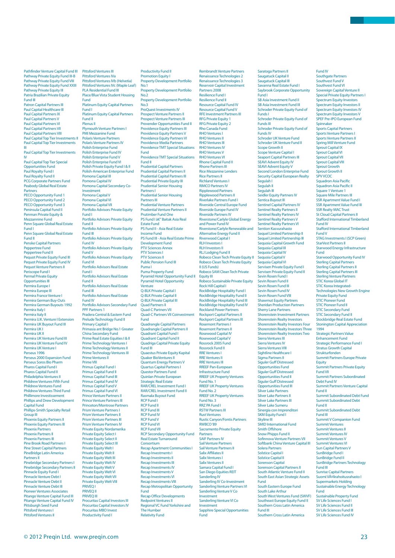Pathfinder Venture Capital Fund III Pathway Private Equity Fund III-B Pathway Private Equity Fund VIII Pathway Private Fquity Fund XXIII Pathway Private Equity III Patria Brazilian Private Equity Fund III Patron Capital Partners III Paul Capital Healthcare III Paul Capital Partners IX Paul Capital Partners V Paul Capital Partners VI Paul Capital Partners VII Paul Capital Partners VIII Paul Capital Top Tier Investments II Paul Capital Top Tier Investments III Paul Capital Top Tier Invest IV Paul Capital Top Tier Special Opportunities Fund Paul Royalty Fund I Paul Royalty Fund II PCG Corporate Partners Fund Peabody Global Real Estate **Partners** PECO Opportunity Fund 1 PECO Opportunity Fund 2 PECO Opportunity Fund 3 Peninsula Capital Fund II Penman Private Equity & Mezzannine Fund Penn Square Global Real Estate Fund I Penn Square Global Real Estate Fund II Penske Capital Partners Peppertree Fund Peppertree Fund II Pequot Private Equity Fund III Pequot Private Equity Fund IV Pequot Venture Partners II Periscope Fund I Permal Private Equity Opportunities III Permira Europe I Permira Europe III Permira France Venture I Permira German Buy-Outs Permira German Buyouts 1992 Permira Italy I Permira Italy II Permira U.K. Venture I Extension Permira UK Buyout Fund III Permira UK I Permira UK II Permira UK Venture Fund III Permira UK Venture Fund IV Permira UK Venture I Perseus 1996 Perseus 2000 Expansion Fund Perseus Soros Bio Pharm Pharos Capital Fund I Pharos Capital Fund II Philadelphia Ventures II Phildrew Ventures Fifth Fund Phildrew Ventures Fund Phildrew Ventures Third Fund Phillimore Investissement Phillips and Drew Development Capital Fund Phillips-Smith Specialty Retail Group III Phoenix Equity Partners II Phoenix Equity Partners III Phoenix Partners Phoenix Partners II Phoenix Partners III Pine Brook Road Partners I Pine Street Capital Partners PineBridge Latin America Partners II Pinebridge Secondary Partners I Pinebridge Secondary Partners II Pinnacle Equity Fund I Pinnacle Venture Debt I Pinnacle Venture Debt II Pinnacle Venture Debt III Pioneer Ventures Associat Pitango Venture Capital Fund III Pitango Venture Capital Fund IV Pittsburgh Seed Fund Pittsford Ventures I Pittsford Ventures II

Pittsford Ventures III Pittsford Ventures IVa Pittsford Ventures IVb (Helvetia) ittsford Ventures IVc (Maple Leaf) PLA Residential Fund III Place/Blue Vista Student Housing Fund Platinum Equity Capital Partners Fund I Platinum Equity Capital Partners Fund II Plenus II Plymouth Venture Partners I PMI Mezzanine Fund Polaris Venture Partners Polaris Venture Partners IV Polish Enterprise Fund Polish Enterprise Fund IV Polish Enterprise Fund V Polish Enterprise Fund VI Polish Private Equity Fund I & II Polish-American Enterprise Fund Pomona Capital III Pomona Capital IV Pomona Capital Secondary Co-Investment Pomona Capital V Pomona Capital VI Pomona Capital VII Portfolio Advisors Private Equity Fund I Portfolio Advisors Private Equity Fund II Portfolio Advisors Private Equity Fund III Portfolio Advisors Private Equity Fund IV Portfolio Advisors Private Equity Fund V Portfolio Advisors Private Equity Fund VI Portfolio Advisors Real Estate Fund I Portfolio Advisors Real Estate Fund II Portfolio Advisors Real Estate Fund III Portfolio Advisors Real Estate Fund IV Portfolio Advisors Secondary Fund PPF Partners 1 Pradera Central & Eastern Fund Prelude Technology Fund II Primary Capital I Primasia ant Bridge No.1 Greater China Secondary Fund Prime Real Estate Equities I & II Prime Technology Ventures I **Prime Technology Ventures I** Prime Technology Ventures III Prime Ventures I Prime VIII Primus Capital Fund I Primus Capital Fund II Primus Capital Fund III Primus Capital Fund IV Primus Capital Fund V Primus Capital Fund VI Prince Venture Partners II Prince Venture Partners III Princeton/Montrose Partners Prism Venture Partners I Prism Venture Partners I Prism Venture Partners III Prism Venture Partners IV Private Equity Nordamerika Private Equity Select I Private Equity Select II Private Equity Select III Private Equity Welt I **Private Equity Welt II** Private Equity Welt II Private Equity Welt IV Private Equity Welt V Private Equity Welt VI Private Equity Welt VII Private Equity Welt VIII PRIVEQ I PRIVEQ II PRIVEQ III Procuritas Capital Investors III Procuritas Capital Investors IV Procuritas MBO Invest Productivity Fund I

Property Development Portfolio No.1 Property Development Portfolio No.2 Property Development Portfolio No.3 ProQuest Investments IV Prospect Venture Partners II Prospect Venture Partners III Provender Opportunities Fund II Providence Equity Partners III Providence Equity Partners V Providence Equity Partners VI Providence Media Partners Providence TMT Special Situations Fund Providence TMT Special Situations Fund II Prudential Capital Partners Prudential Capital Partners II Prudential Capital Partners III Prudential Private Equity III Prudential Senior Housing Partners I Prudential Senior Housing Partners III Prudential Venture Partners Prudential Venture Partners II Prutimber Fund One PS Fund Lâ€" Baitak Asia Real Estate Fund PS Fund II - Asia Real Estate Income Fund PS Fund III - Asia Real Estate Prime Development Fund PTV Sciences Annex PTV Sciences I PTV Sciences II Public Pension Fund III Puma I Puma Property Fund Pyramid Hotel Opportunity Fund II Pyramid Hotel Opportunity Venture Q-BLK Private Capital I Q-BLK Private Capital II Q-BLK Private Capital III Quad Partners II Quad-C Partners VII Quad-C Partners VII Coinvestment Fund Quadrangle Capital Partners Quadrangle Capital Partners II Quadrant Capital Fund I Quadrant Capital Fund II Quadriga Capital Private Equity Fund III Quaestus Private Equity Kapital Quaker BioVentures II Quantum Energy Partners V Quartus Capital Partners I Questor Partners Fund Quinlan Private European Strategic Real Estate RAR/CREL Investment Fund I RAR/CREL Investment Fund II Rasmala Buyout Fund RCP Fund I **RCP Fund I** RCP Fund III **RCP Fund IV** RCP Fund V RCP Fund VI RCP Fund VII RCP Secondary Opportunity Fund Real Estate Turnaround Consortium Recap Apartment Communities I Recap Investments I Recap Investments II Recap Investments III **Recap Investments IV** Recap Investments V Recap Investments VI Recap Investments VIII Recap Metropolitan Opportunity Fund<br>Recap Office Developments Redpoint Ventures II Regional VC Fund Yorkshire and The Humber Relativity Fund

Productivity Fund II Promotion Equity I

Renaissance Technologies 2 Renaissance Technologies 3 Reservoir Capital Inve Partners 2008 Resilience Fund I Resilience Fund II Resource Capital Fund IV Resource Capital Fund V RFE Investment Partners III RFG Private Equity 1 RFG Private Equity 2 Rho Canada Fund RHO Ventures I RHO Ventures II RHO Ventures III RHO Ventures IV RHO Ventures \ RHO Ventures VI Rhone Capital Fund II Rhone Partners III Rice Mezzanine Lenders Rice Partners II Richland Ventures I RIMCO Partners IV Ripplewood Partners Ripplewood Partners II Riverlake Partners Fund I Riverside Central Europe Fund Riverside Europe Fund IV Riverside Partners IV Riverstone/Carlyle Global Energy and Power Fund IV Riverstone/Carlyle Renewable and Alternative Energy Fund II Riverwood Capital I RLH Investors I RLH Investors II RLJ Lodging Fund II Robeco Clean Tech Private Equity II Robeco Clean Tech Private Equity II (US Funds) Robeco SAM Clean Tech Private Equity III Robeco Sustainable Private Equity Rock Hill Capital I RockBridge Hospitality Fund I RockBridge Hospitality Fund II RockBridge Hospitality Fund III RockBridge Hospitality Fund IV Rockland Power Partners Rockport Capital Partners II Rockport Capital Partners III Rosemont Partners I Rosemont Partners II Rosewood Capital IV Rosewood Capital V Rossrock 2005 Fund Rossrock Fund II RRE Ventures I RRE Ventures II RRE Ventures III RREEF Pan-European Infrastructure Fund RREEF UK Property Ventures Fund No. 1 RREEF UK Property Ventures Fund No. 2 RREEF UK Property Ventures Fund No. 3 RRZ PA Fund I RSTW Partners III Rust Ventures Rustic Canyon/Fontis Partners RWBCO'89 Sacramento Private Equity Partners SAIF Partners IV Sail Venture Partners Sail Venture Partners II Salix Affiliates II **Salix Ventures** Salix Ventures II Samara Capital Fund I San Diego Equities REIT Sanderling IV Sanderling IV Co-Investment Sanderling Venture Partners VI Sanderling Venture V Co Investment Sanderling Venture VI Co Investment Sapphire Special Opportunities Fund

Rembrandt Venture Partners

Saratoga Partners II Saugatuck Capital II Saugatuck Capital III vanna Real Estate Fund I Saybrook Corporate Opportunity Fund I SB Asia Investment Fund II SB Asia Investment Fund III Schroder Private Equity Fund of Funds I Schroder Private Equity Fund of Funds III Schroder Private Equity Fund of Funds IV Schroder UK Venture Fund Schroder UK Venture Fund II Scope Growth II Scope Venture Capital I Seaport Capital Partners III SEAVI Advent Equity IV SEAVI Advent Equity V Second London Enterprise Fund Security Capital European Realty Segulah I  $\frac{1}{2}$ egulah II Segulah III <sub>.</sub><br>eidler Equity Partners IV Sentica Buyout III Sentinel Capital Partners IV Sentinel Realty Partners II Sentinel Realty Partners IV Sentinel Realty Partners V Sentinel Realty Partners VI Sention Kasvurahasto Sequel Limited Partnership II Sequel Limited Partnership III Sequoia Capital Growth Fund Sequoia Capital III Sequoia Capital IV Sequoia Capital V Sequoia Capital VI Servisen Private Equity Fund I Servisen Private Equity Fund II Sevin Rosen Fund I Sevin Rosen Fund II Sevin Rosen Fund III Sevin Rosen Fund IV Sevin Rosen Fund VIII Shawmut Equity Partners Sheridan Production Partners Sherry Lane Partners Shorenstein Investment Partners Shorenstein Realty Investors Shorenstein Realty Investors Four Shorenstein Realty Investors Three Shorenstein Realty Investors Two Sierra Ventures III Sierra Ventures IV Sierra Ventures VIII Sightline Healthcare I Sigma Partners II Siguler Guff Distressed Opportunities Fund Siguler Guff Distressed Opportunities Fund II Siguler Guff Distressed Opportunities Fund III Silver Lake Partners Silver Lake Partners II Silver Lake Partners III Silver Lake Sumeru Sinergia con Imprenditori SKM Equity Fund I Skyline III SMID International Fund Smith Offshore Snow Phipps Fund II Sofinnova Venture Partners VII<br>Softbank China Venture Capital II Solera Partners Solstice Capital I Solstice Capital II Sorenson Capital Sorenson Capital Partners II South Atlantic Venture Fund II South East Asian Strategic Assets Fund South Eastern Europe Fund South Lake Arthur South West Ventures Fund (SWVF) Southeast Europe Equity Fund II Southern Cross Latin America Fund III Southern Cross Latin America

Southvest Fund V Southvest Fund VI Sovereign Capital Venture II Special Private Equity Partners I Spectrum Equity Investors Spectrum Equity Investors II Spectrum Equity Investors IV Spectrum Equity Investors V SPEF Pre-IPO European Fund Spinnaker Sports Capital Partners Sports Venture Partners I Sports Venture Partners II Spring Mill Venture Fund Sprout Capital IX Sprout Capital VI Sprout Capital VII Sprout Capital VIII Sprout Growth Sprout Growth II SPV VCOC Si Trese<br>Squadron Asia Pacific Squadron Asia Pacific II Square 1 Venture 1 Square Mile Partners III SSR Apartment Value Fund I SSR Apartment Value Fund III SSR Realty MAC Trust St Cloud Capital Partners II Stafford International Timberland Fund IV Stafford International Timberland Fund V STAG Investments I (SCP Green) StarVest Partners II Starwood Energy Infrastructure Fund Starwood Opportunity Fund IV Sterling Capital Partners Sterling Capital Partners II Sterling Capital Partners III Sterling Venture Partners STIC Korea Global IT STIC Korea Integrated-Technologies New Growth Engine Private Equity Fund STIC Pioneer Fund STIC Pioneer Fund II STIC Secondary Fund STIC Secondary Fund II Stockbridge Real Estate Fund Stonington Capital Appreciation 1994 Strategic Partners Value Enhancement Fund Strategic Performance Fund I Stratus Growth Capital Strukturfonden Summit Partners Europe Private Equity Summit Partners Private Equity Fund VII Summit Partners Subordinated Debt Fund IV Summit Partners Venture Capital Fund II Summit Subordinated Debt Fund Summit Subordinated Debt Fund II Summit Subordinated Debt Fund III Summit V Companion Fund Summit Ventures Summit Ventures II Summit Ventures IV Summit Ventures V Summit Ventures VI Sunnine ventures vi<br>Sun Capital Partners V SunBridge Fund I SunBridge Fund II SunBridge Partners Technology Fund III Sunrise Capital Partners Suomi Välirahoitusrahasto I Supermarkets Holding Sustainable Energy Technology Fund Sustainable Property Fund SV Life Sciences Fund I SV Life Sciences Fund II

Fund IV Southgate Partners

SV Life Sciences Fund III SV Life Sciences Fund IV